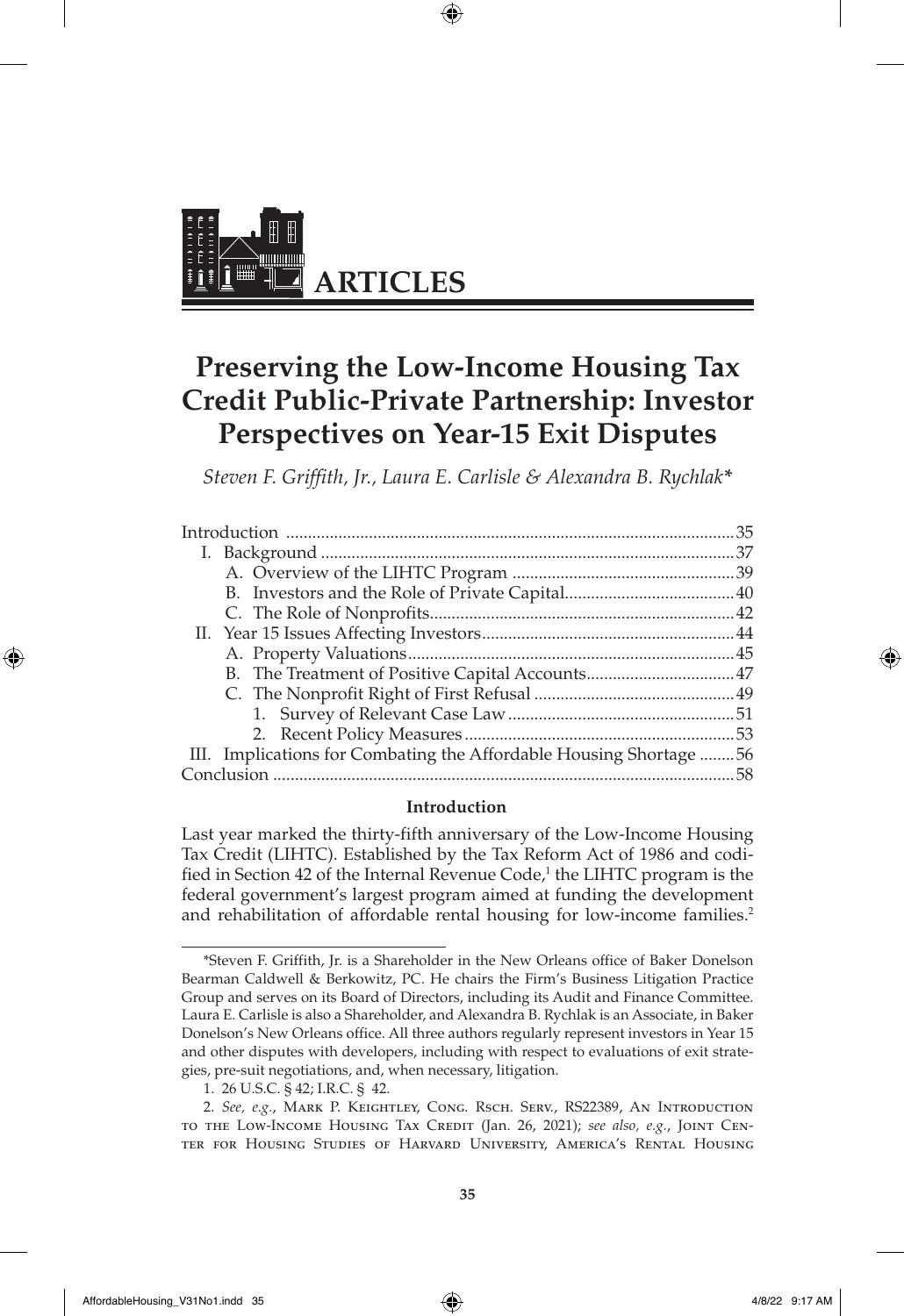

# **Preserving the Low-Income Housing Tax Credit Public-Private Partnership: Investor Perspectives on Year-15 Exit Disputes**

⊕

*Steven F. Griffith, Jr., Laura E. Carlisle & Alexandra B. Rychlak\**

| B. The Treatment of Positive Capital Accounts47                    |    |
|--------------------------------------------------------------------|----|
|                                                                    |    |
|                                                                    |    |
|                                                                    |    |
| III. Implications for Combating the Affordable Housing Shortage 56 |    |
|                                                                    | 58 |

#### **Introduction**

Last year marked the thirty-fifth anniversary of the Low-Income Housing Tax Credit (LIHTC). Established by the Tax Reform Act of 1986 and codified in Section 42 of the Internal Revenue Code,<sup>1</sup> the LIHTC program is the federal government's largest program aimed at funding the development and rehabilitation of affordable rental housing for low-income families.<sup>2</sup>

◈

<sup>\*</sup>Steven F. Griffith, Jr. is a Shareholder in the New Orleans office of Baker Donelson Bearman Caldwell & Berkowitz, PC. He chairs the Firm's Business Litigation Practice Group and serves on its Board of Directors, including its Audit and Finance Committee. Laura E. Carlisle is also a Shareholder, and Alexandra B. Rychlak is an Associate, in Baker Donelson's New Orleans office. All three authors regularly represent investors in Year 15 and other disputes with developers, including with respect to evaluations of exit strategies, pre-suit negotiations, and, when necessary, litigation.

<sup>1.</sup> 26 U.S.C. § 42; I.R.C. § 42.

<sup>2.</sup> *See, e.g.*, Mark P. Keightley, Cong. Rsch. Serv., RS22389, An Introduction to the Low-Income Housing Tax Credit (Jan. 26, 2021); *see also, e.g.*, Joint Center for Housing Studies of Harvard University, America's Rental Housing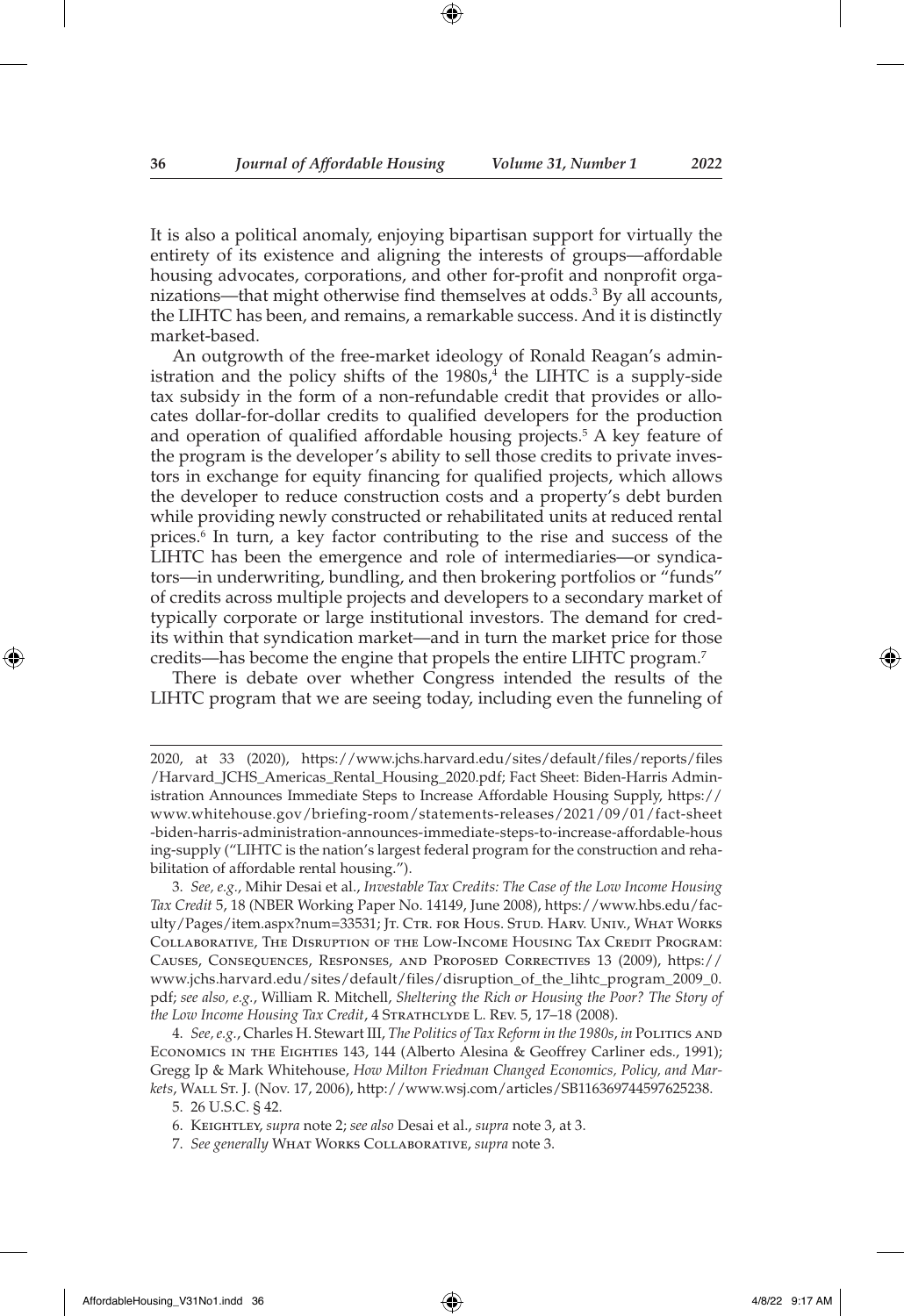It is also a political anomaly, enjoying bipartisan support for virtually the entirety of its existence and aligning the interests of groups—affordable housing advocates, corporations, and other for-profit and nonprofit organizations—that might otherwise find themselves at odds.3 By all accounts, the LIHTC has been, and remains, a remarkable success. And it is distinctly market-based.

An outgrowth of the free-market ideology of Ronald Reagan's administration and the policy shifts of the 1980s,<sup>4</sup> the LIHTC is a supply-side tax subsidy in the form of a non-refundable credit that provides or allocates dollar-for-dollar credits to qualified developers for the production and operation of qualified affordable housing projects.<sup>5</sup> A key feature of the program is the developer's ability to sell those credits to private investors in exchange for equity financing for qualified projects, which allows the developer to reduce construction costs and a property's debt burden while providing newly constructed or rehabilitated units at reduced rental prices.<sup>6</sup> In turn, a key factor contributing to the rise and success of the LIHTC has been the emergence and role of intermediaries—or syndicators—in underwriting, bundling, and then brokering portfolios or "funds" of credits across multiple projects and developers to a secondary market of typically corporate or large institutional investors. The demand for credits within that syndication market—and in turn the market price for those credits—has become the engine that propels the entire LIHTC program.7

There is debate over whether Congress intended the results of the LIHTC program that we are seeing today, including even the funneling of

3. *See, e.g.*, Mihir Desai et al., *Investable Tax Credits: The Case of the Low Income Housing Tax Credit* 5, 18 (NBER Working Paper No. 14149, June 2008), https://www.hbs.edu/faculty/Pages/item.aspx?num=33531; Jt. Ctr. for Hous. Stud. Harv. Univ., What Works COLLABORATIVE, THE DISRUPTION OF THE LOW-INCOME HOUSING TAX CREDIT PROGRAM: Causes, Consequences, Responses, and Proposed Correctives 13 (2009), https:// www.jchs.harvard.edu/sites/default/files/disruption\_of\_the\_lihtc\_program\_2009\_0. pdf; *see also, e.g.*, William R. Mitchell, *Sheltering the Rich or Housing the Poor? The Story of the Low Income Housing Tax Credit, 4 STRATHCLYDE L. REV. 5, 17-18 (2008).* 

4. *See, e.g.*, Charles H. Stewart III, *The Politics of Tax Reform in the 1980s*, *in* Politics and Economics in the Eighties 143, 144 (Alberto Alesina & Geoffrey Carliner eds., 1991); Gregg Ip & Mark Whitehouse, *How Milton Friedman Changed Economics, Policy, and Markets*, Wall St. J. (Nov. 17, 2006), http://www.wsj.com/articles/SB116369744597625238.

5. 26 U.S.C. § 42.

6. Keightley, *supra* note 2; *see also* Desai et al., *supra* note 3, at 3.

7. *See generally* What Works Collaborative, *supra* note 3.

<sup>2020,</sup> at 33 (2020), https://www.jchs.harvard.edu/sites/default/files/reports/files /Harvard\_JCHS\_Americas\_Rental\_Housing\_2020.pdf; Fact Sheet: Biden-Harris Administration Announces Immediate Steps to Increase Affordable Housing Supply, https:// www.whitehouse.gov/briefing-room/statements-releases/2021/09/01/fact-sheet -biden-harris-administration-announces-immediate-steps-to-increase-affordable-hous ing-supply ("LIHTC is the nation's largest federal program for the construction and rehabilitation of affordable rental housing.").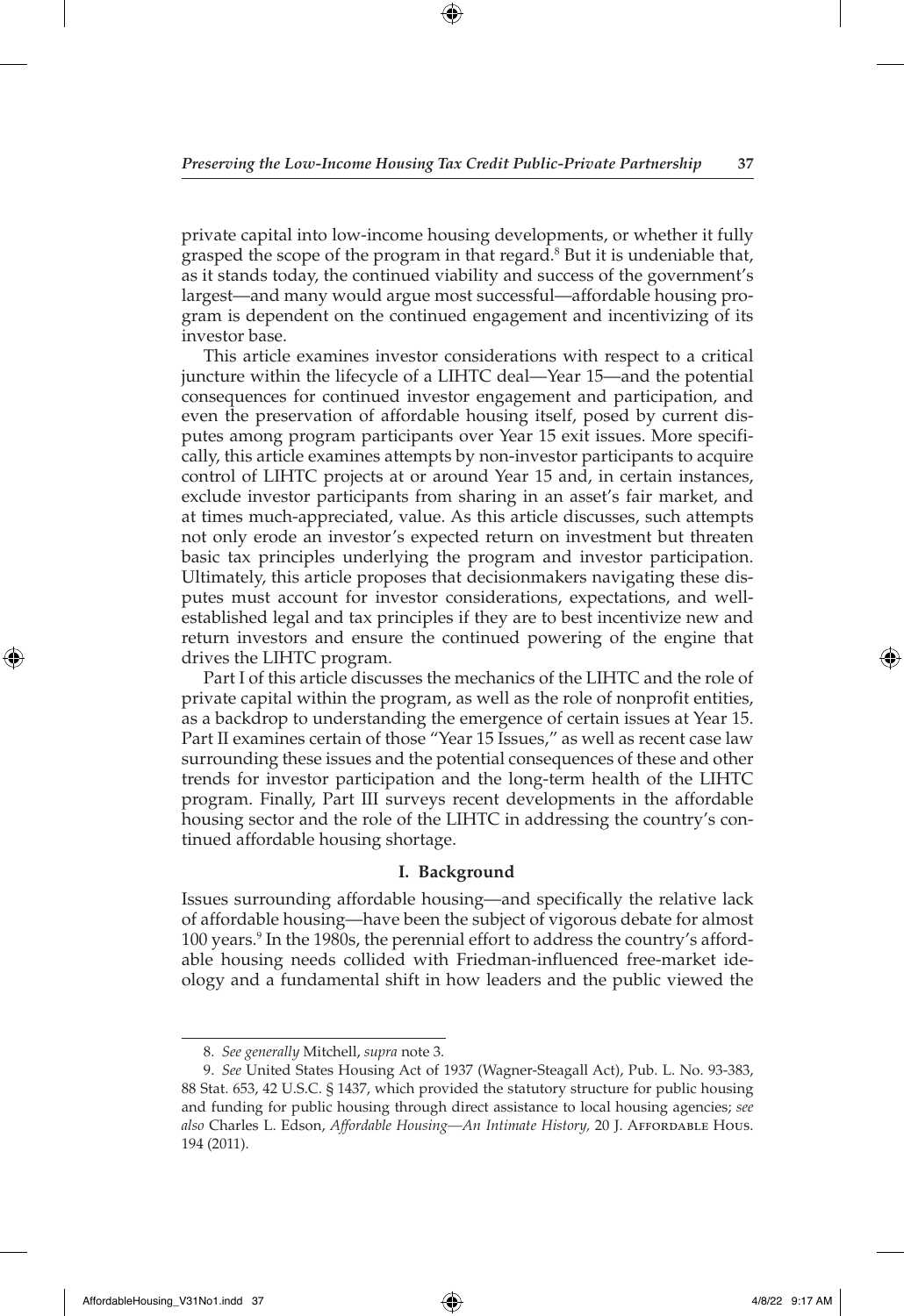private capital into low-income housing developments, or whether it fully grasped the scope of the program in that regard.<sup>8</sup> But it is undeniable that, as it stands today, the continued viability and success of the government's largest—and many would argue most successful—affordable housing program is dependent on the continued engagement and incentivizing of its investor base.

This article examines investor considerations with respect to a critical juncture within the lifecycle of a LIHTC deal—Year 15—and the potential consequences for continued investor engagement and participation, and even the preservation of affordable housing itself, posed by current disputes among program participants over Year 15 exit issues. More specifically, this article examines attempts by non-investor participants to acquire control of LIHTC projects at or around Year 15 and, in certain instances, exclude investor participants from sharing in an asset's fair market, and at times much-appreciated, value. As this article discusses, such attempts not only erode an investor's expected return on investment but threaten basic tax principles underlying the program and investor participation. Ultimately, this article proposes that decisionmakers navigating these disputes must account for investor considerations, expectations, and wellestablished legal and tax principles if they are to best incentivize new and return investors and ensure the continued powering of the engine that drives the LIHTC program.

Part I of this article discusses the mechanics of the LIHTC and the role of private capital within the program, as well as the role of nonprofit entities, as a backdrop to understanding the emergence of certain issues at Year 15. Part II examines certain of those "Year 15 Issues," as well as recent case law surrounding these issues and the potential consequences of these and other trends for investor participation and the long-term health of the LIHTC program. Finally, Part III surveys recent developments in the affordable housing sector and the role of the LIHTC in addressing the country's continued affordable housing shortage.

#### **I. Background**

Issues surrounding affordable housing—and specifically the relative lack of affordable housing—have been the subject of vigorous debate for almost 100 years.<sup>9</sup> In the 1980s, the perennial effort to address the country's affordable housing needs collided with Friedman-influenced free-market ideology and a fundamental shift in how leaders and the public viewed the

◈

<sup>8.</sup> *See generally* Mitchell, *supra* note 3.

<sup>9.</sup> *See* United States Housing Act of 1937 (Wagner-Steagall Act), Pub. L. No. 93-383, 88 Stat. 653, 42 U.S.C. § 1437, which provided the statutory structure for public housing and funding for public housing through direct assistance to local housing agencies; *see also* Charles L. Edson, *Affordable Housing—An Intimate History,* 20 J. Affordable Hous. 194 (2011).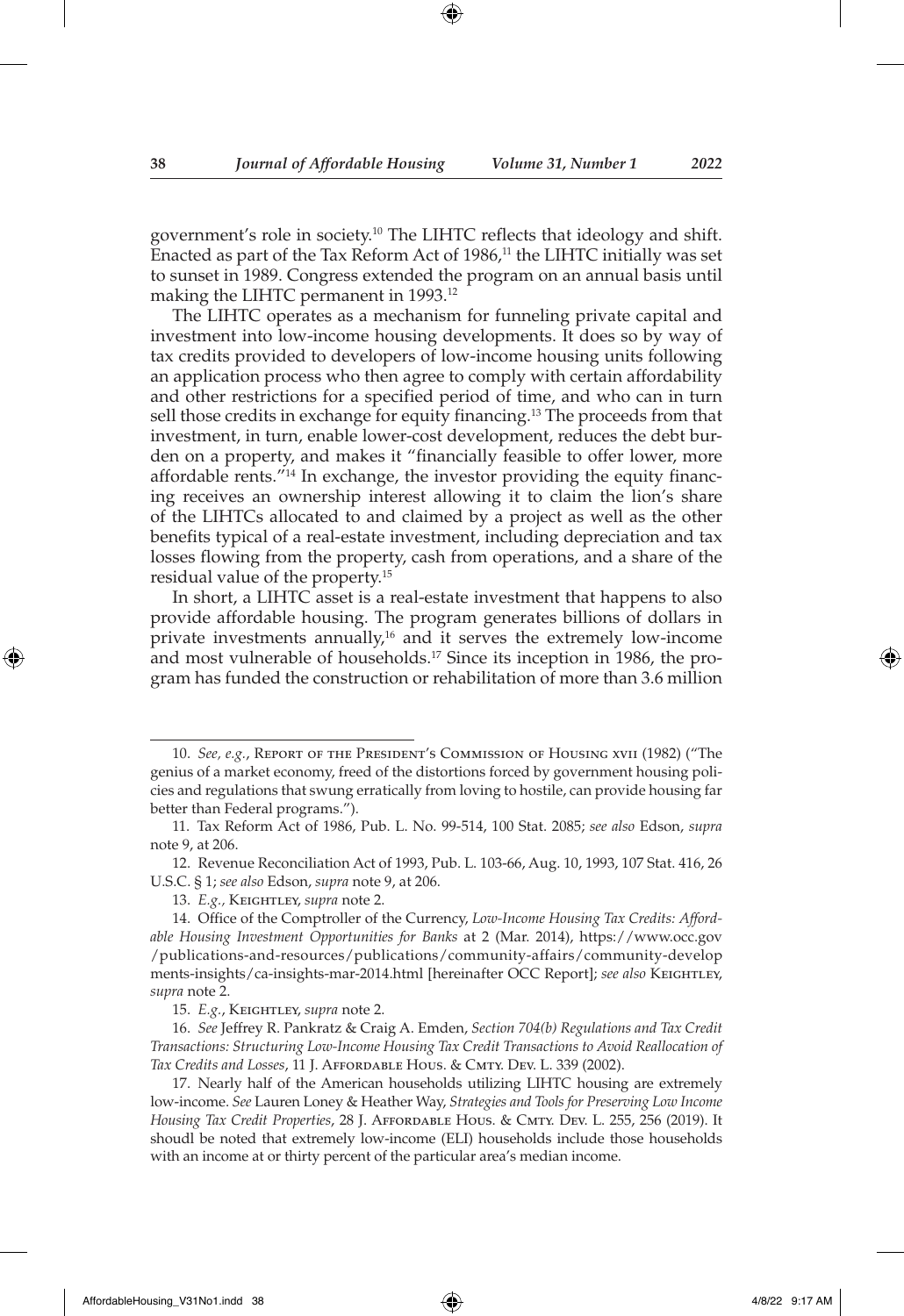government's role in society.10 The LIHTC reflects that ideology and shift. Enacted as part of the Tax Reform Act of 1986,<sup>11</sup> the LIHTC initially was set to sunset in 1989. Congress extended the program on an annual basis until making the LIHTC permanent in 1993.12

The LIHTC operates as a mechanism for funneling private capital and investment into low-income housing developments. It does so by way of tax credits provided to developers of low-income housing units following an application process who then agree to comply with certain affordability and other restrictions for a specified period of time, and who can in turn sell those credits in exchange for equity financing.13 The proceeds from that investment, in turn, enable lower-cost development, reduces the debt burden on a property, and makes it "financially feasible to offer lower, more affordable rents."<sup>14</sup> In exchange, the investor providing the equity financing receives an ownership interest allowing it to claim the lion's share of the LIHTCs allocated to and claimed by a project as well as the other benefits typical of a real-estate investment, including depreciation and tax losses flowing from the property, cash from operations, and a share of the residual value of the property.15

In short, a LIHTC asset is a real-estate investment that happens to also provide affordable housing. The program generates billions of dollars in private investments annually, $16$  and it serves the extremely low-income and most vulnerable of households.<sup>17</sup> Since its inception in 1986, the program has funded the construction or rehabilitation of more than 3.6 million

12. Revenue Reconciliation Act of 1993, Pub. L. 103-66, Aug. 10, 1993, 107 Stat. 416, 26 U.S.C. § 1; *see also* Edson, *supra* note 9, at 206.

13. *E.g.,* Keightley, *supra* note 2.

<sup>10.</sup> *See, e.g.*, Report of the President's Commission of Housing xvii (1982) ("The genius of a market economy, freed of the distortions forced by government housing policies and regulations that swung erratically from loving to hostile, can provide housing far better than Federal programs.").

<sup>11.</sup> Tax Reform Act of 1986, Pub. L. No. 99-514, 100 Stat. 2085; *see also* Edson, *supra*  note 9, at 206.

<sup>14.</sup> Office of the Comptroller of the Currency, *Low-Income Housing Tax Credits: Affordable Housing Investment Opportunities for Banks* at 2 (Mar. 2014), https://www.occ.gov /publications-and-resources/publications/community-affairs/community-develop ments-insights/ca-insights-mar-2014.html [hereinafter OCC Report]; see also KEIGHTLEY, *supra* note 2.

<sup>15.</sup> *E.g.*, Keightley, *supra* note 2.

<sup>16.</sup> *See* Jeffrey R. Pankratz & Craig A. Emden, *Section 704(b) Regulations and Tax Credit Transactions: Structuring Low-Income Housing Tax Credit Transactions to Avoid Reallocation of Tax Credits and Losses*, 11 J. Affordable Hous. & Cmty. Dev. L. 339 (2002).

<sup>17.</sup> Nearly half of the American households utilizing LIHTC housing are extremely low-income. *See* Lauren Loney & Heather Way, *Strategies and Tools for Preserving Low Income Housing Tax Credit Properties*, 28 J. Affordable Hous. & Cmty. Dev. L. 255, 256 (2019). It shoudl be noted that extremely low-income (ELI) households include those households with an income at or thirty percent of the particular area's median income.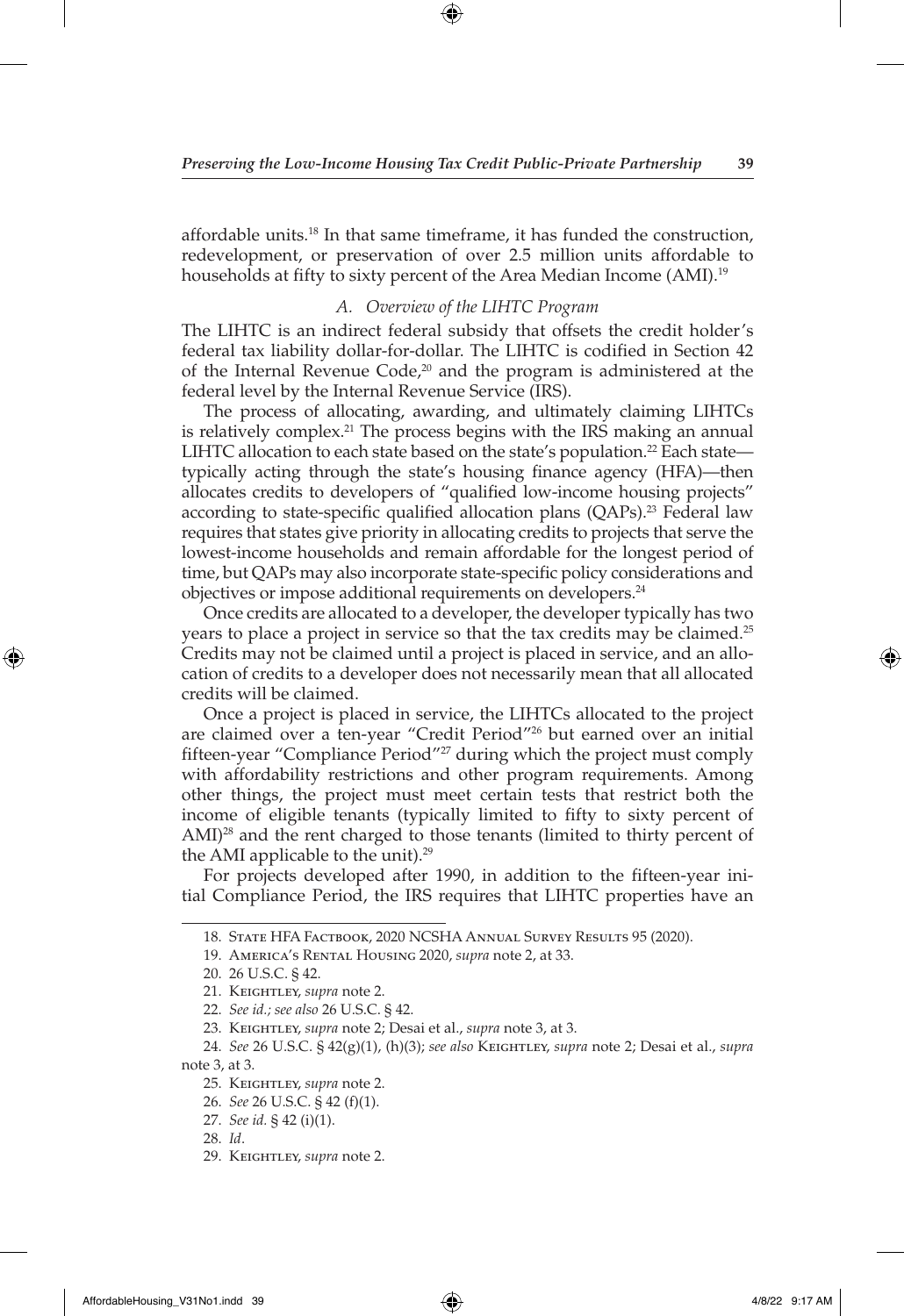⊕

affordable units.18 In that same timeframe, it has funded the construction, redevelopment, or preservation of over 2.5 million units affordable to households at fifty to sixty percent of the Area Median Income (AMI).<sup>19</sup>

## *A. Overview of the LIHTC Program*

The LIHTC is an indirect federal subsidy that offsets the credit holder's federal tax liability dollar-for-dollar. The LIHTC is codified in Section 42 of the Internal Revenue Code, $20$  and the program is administered at the federal level by the Internal Revenue Service (IRS).

The process of allocating, awarding, and ultimately claiming LIHTCs is relatively complex.<sup>21</sup> The process begins with the IRS making an annual LIHTC allocation to each state based on the state's population.<sup>22</sup> Each state typically acting through the state's housing finance agency (HFA)—then allocates credits to developers of "qualified low-income housing projects" according to state-specific qualified allocation plans (QAPs).<sup>23</sup> Federal law requires that states give priority in allocating credits to projects that serve the lowest-income households and remain affordable for the longest period of time, but QAPs may also incorporate state-specific policy considerations and objectives or impose additional requirements on developers.24

Once credits are allocated to a developer, the developer typically has two years to place a project in service so that the tax credits may be claimed.25 Credits may not be claimed until a project is placed in service, and an allocation of credits to a developer does not necessarily mean that all allocated credits will be claimed.

Once a project is placed in service, the LIHTCs allocated to the project are claimed over a ten-year "Credit Period"26 but earned over an initial fifteen-year "Compliance Period"27 during which the project must comply with affordability restrictions and other program requirements. Among other things, the project must meet certain tests that restrict both the income of eligible tenants (typically limited to fifty to sixty percent of AMI)<sup>28</sup> and the rent charged to those tenants (limited to thirty percent of the AMI applicable to the unit). $29$ 

For projects developed after 1990, in addition to the fifteen-year initial Compliance Period, the IRS requires that LIHTC properties have an

<sup>18.</sup> State HFA Factbook, 2020 NCSHA Annual Survey Results 95 (2020).

<sup>19.</sup> America's Rental Housing 2020, *supra* note 2, at 33.

<sup>20.</sup> 26 U.S.C. § 42.

<sup>21.</sup> Keightley, *supra* note 2.

<sup>22.</sup> *See id.; see also* 26 U.S.C. § 42.

<sup>23.</sup> Keightley, *supra* note 2; Desai et al., *supra* note 3, at 3.

<sup>24.</sup> *See* 26 U.S.C. § 42(g)(1), (h)(3); *see also* Keightley, *supra* note 2; Desai et al., *supra*  note 3, at 3.

<sup>25.</sup> Keightley, *supra* note 2.

<sup>26.</sup> *See* 26 U.S.C. § 42 (f)(1).

<sup>27.</sup> *See id.* § 42 (i)(1).

<sup>28.</sup> *Id*.

<sup>29.</sup> Keightley, *supra* note 2.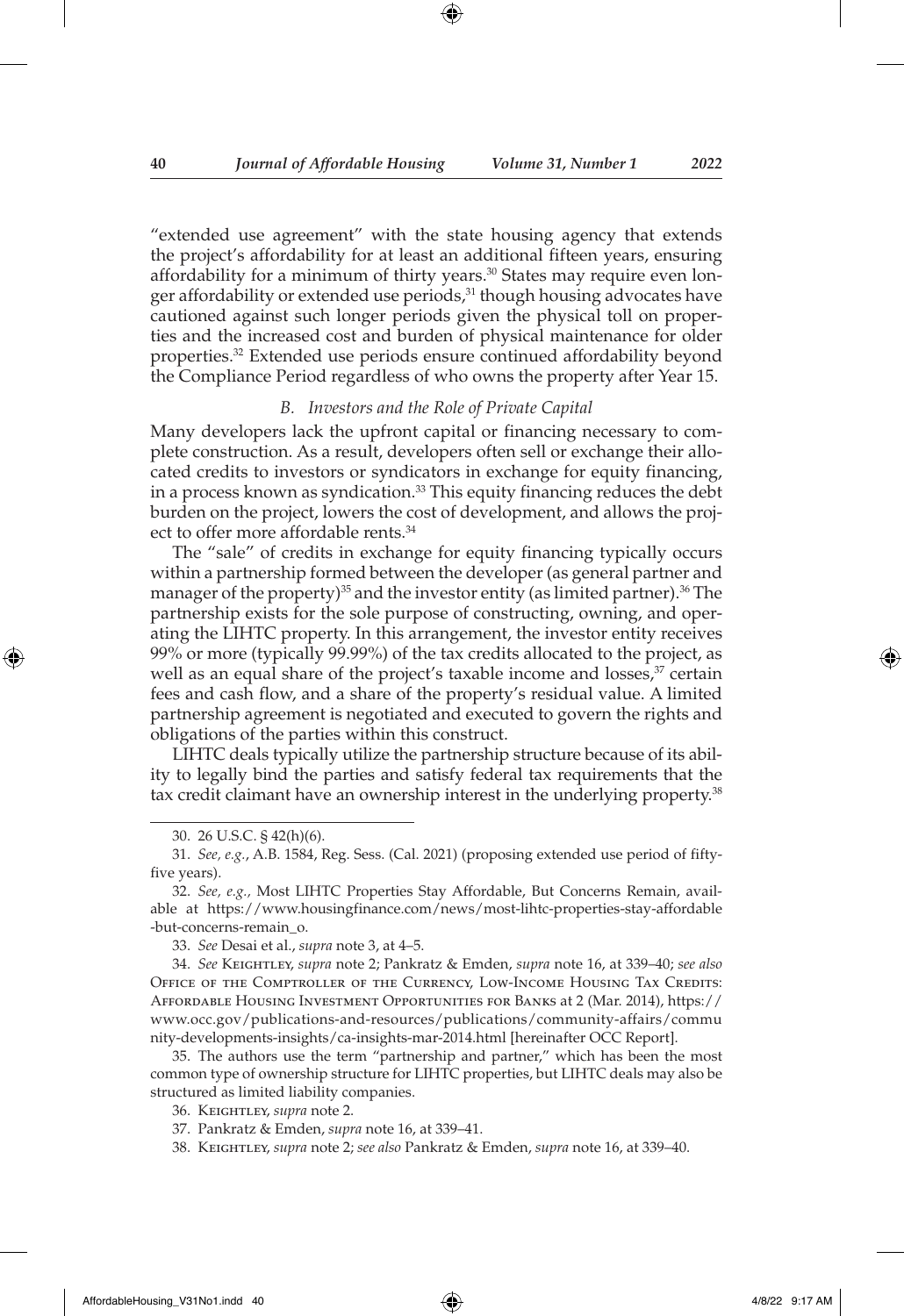"extended use agreement" with the state housing agency that extends the project's affordability for at least an additional fifteen years, ensuring affordability for a minimum of thirty years.<sup>30</sup> States may require even longer affordability or extended use periods,<sup>31</sup> though housing advocates have cautioned against such longer periods given the physical toll on properties and the increased cost and burden of physical maintenance for older properties.32 Extended use periods ensure continued affordability beyond the Compliance Period regardless of who owns the property after Year 15.

#### *B. Investors and the Role of Private Capital*

Many developers lack the upfront capital or financing necessary to complete construction. As a result, developers often sell or exchange their allocated credits to investors or syndicators in exchange for equity financing, in a process known as syndication.<sup>33</sup> This equity financing reduces the debt burden on the project, lowers the cost of development, and allows the project to offer more affordable rents.<sup>34</sup>

The "sale" of credits in exchange for equity financing typically occurs within a partnership formed between the developer (as general partner and manager of the property)<sup>35</sup> and the investor entity (as limited partner).<sup>36</sup> The partnership exists for the sole purpose of constructing, owning, and operating the LIHTC property. In this arrangement, the investor entity receives 99% or more (typically 99.99%) of the tax credits allocated to the project, as well as an equal share of the project's taxable income and losses,<sup>37</sup> certain fees and cash flow, and a share of the property's residual value. A limited partnership agreement is negotiated and executed to govern the rights and obligations of the parties within this construct.

LIHTC deals typically utilize the partnership structure because of its ability to legally bind the parties and satisfy federal tax requirements that the tax credit claimant have an ownership interest in the underlying property.<sup>38</sup>

35. The authors use the term "partnership and partner," which has been the most common type of ownership structure for LIHTC properties, but LIHTC deals may also be structured as limited liability companies.

↔

<sup>30.</sup> 26 U.S.C. § 42(h)(6).

<sup>31.</sup> *See, e.g.*, A.B. 1584, Reg. Sess. (Cal. 2021) (proposing extended use period of fiftyfive years).

<sup>32.</sup> *See, e.g.,* Most LIHTC Properties Stay Affordable, But Concerns Remain, available at https://www.housingfinance.com/news/most-lihtc-properties-stay-affordable -but-concerns-remain\_o.

<sup>33.</sup> *See* Desai et al., *supra* note 3, at 4–5.

<sup>34.</sup> *See* Keightley, *supra* note 2; Pankratz & Emden, *supra* note 16, at 339–40; *see also* Office of the Comptroller of the Currency, Low-Income Housing Tax Credits: Affordable Housing Investment Opportunities for Banks at 2 (Mar. 2014), https:// www.occ.gov/publications-and-resources/publications/community-affairs/commu nity-developments-insights/ca-insights-mar-2014.html [hereinafter OCC Report].

<sup>36.</sup> Keightley, *supra* note 2.

<sup>37.</sup> Pankratz & Emden, *supra* note 16, at 339–41.

<sup>38.</sup> Keightley, *supra* note 2; *see also* Pankratz & Emden, *supra* note 16, at 339–40.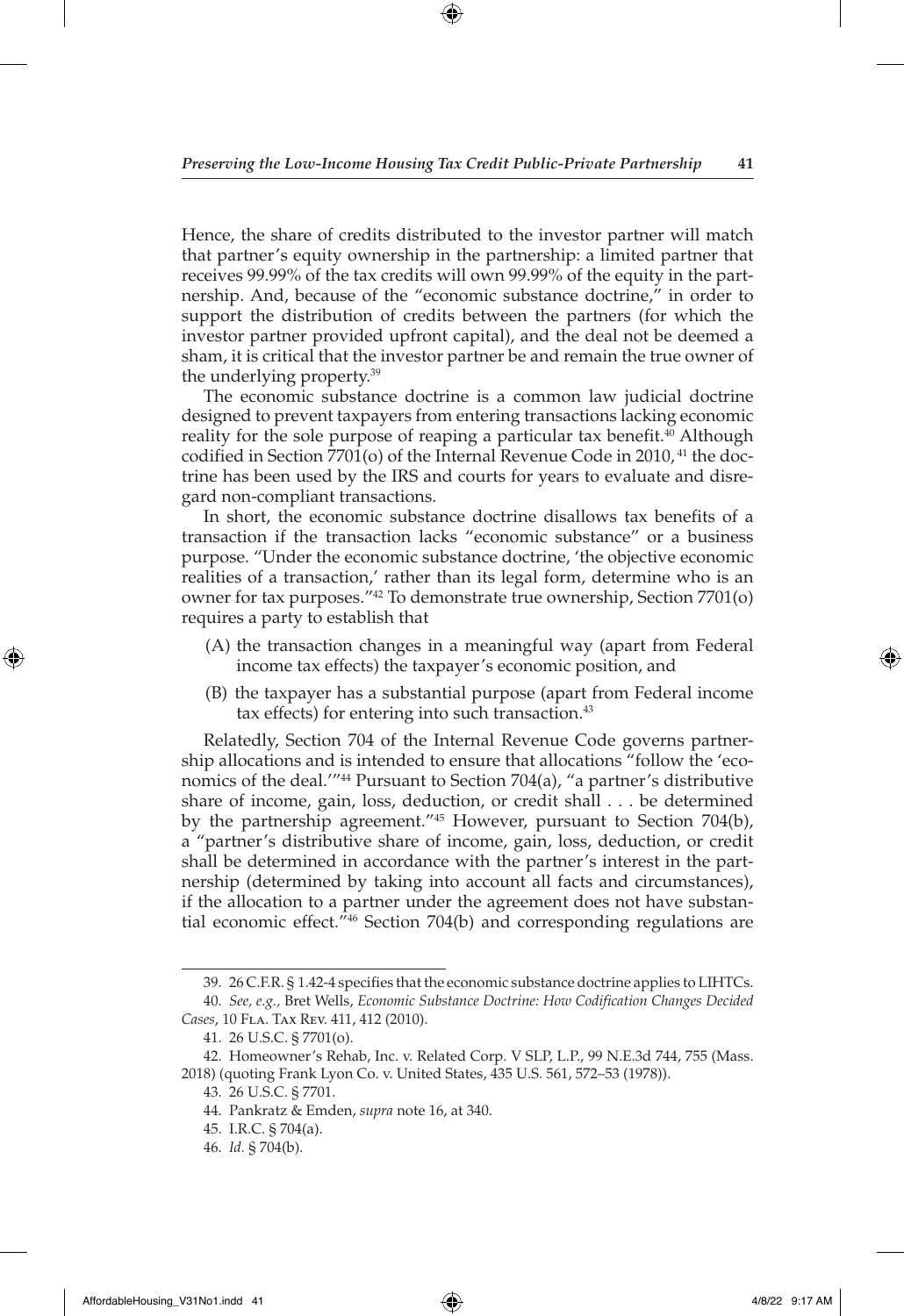Hence, the share of credits distributed to the investor partner will match that partner's equity ownership in the partnership: a limited partner that receives 99.99% of the tax credits will own 99.99% of the equity in the partnership. And, because of the "economic substance doctrine," in order to support the distribution of credits between the partners (for which the investor partner provided upfront capital), and the deal not be deemed a sham, it is critical that the investor partner be and remain the true owner of the underlying property.39

The economic substance doctrine is a common law judicial doctrine designed to prevent taxpayers from entering transactions lacking economic reality for the sole purpose of reaping a particular tax benefit.<sup>40</sup> Although codified in Section 7701(o) of the Internal Revenue Code in 2010,  $41$  the doctrine has been used by the IRS and courts for years to evaluate and disregard non-compliant transactions.

In short, the economic substance doctrine disallows tax benefits of a transaction if the transaction lacks "economic substance" or a business purpose. "Under the economic substance doctrine, 'the objective economic realities of a transaction,' rather than its legal form, determine who is an owner for tax purposes."42 To demonstrate true ownership, Section 7701(o) requires a party to establish that

- (A) the transaction changes in a meaningful way (apart from Federal income tax effects) the taxpayer's economic position, and
- (B) the taxpayer has a substantial purpose (apart from Federal income tax effects) for entering into such transaction.<sup>43</sup>

Relatedly, Section 704 of the Internal Revenue Code governs partnership allocations and is intended to ensure that allocations "follow the 'economics of the deal.'"44 Pursuant to Section 704(a), "a partner's distributive share of income, gain, loss, deduction, or credit shall . . . be determined by the partnership agreement."45 However, pursuant to Section 704(b), a "partner's distributive share of income, gain, loss, deduction, or credit shall be determined in accordance with the partner's interest in the partnership (determined by taking into account all facts and circumstances), if the allocation to a partner under the agreement does not have substantial economic effect."46 Section 704(b) and corresponding regulations are

◈

<sup>39.</sup> 26 C.F.R. § 1.42-4 specifies that the economic substance doctrine applies to LIHTCs. 40. *See, e.g.,* Bret Wells, *Economic Substance Doctrine: How Codification Changes Decided* 

*Cases*, 10 Fla. Tax Rev. 411, 412 (2010).

<sup>41.</sup> 26 U.S.C. § 7701(o).

<sup>42.</sup> Homeowner's Rehab, Inc. v. Related Corp. V SLP, L.P., 99 N.E.3d 744, 755 (Mass. 2018) (quoting Frank Lyon Co. v. United States, 435 U.S. 561, 572–53 (1978)).

<sup>43.</sup> 26 U.S.C. § 7701.

<sup>44.</sup> Pankratz & Emden, *supra* note 16, at 340.

<sup>45.</sup> I.R.C. § 704(a).

<sup>46.</sup> *Id.* § 704(b).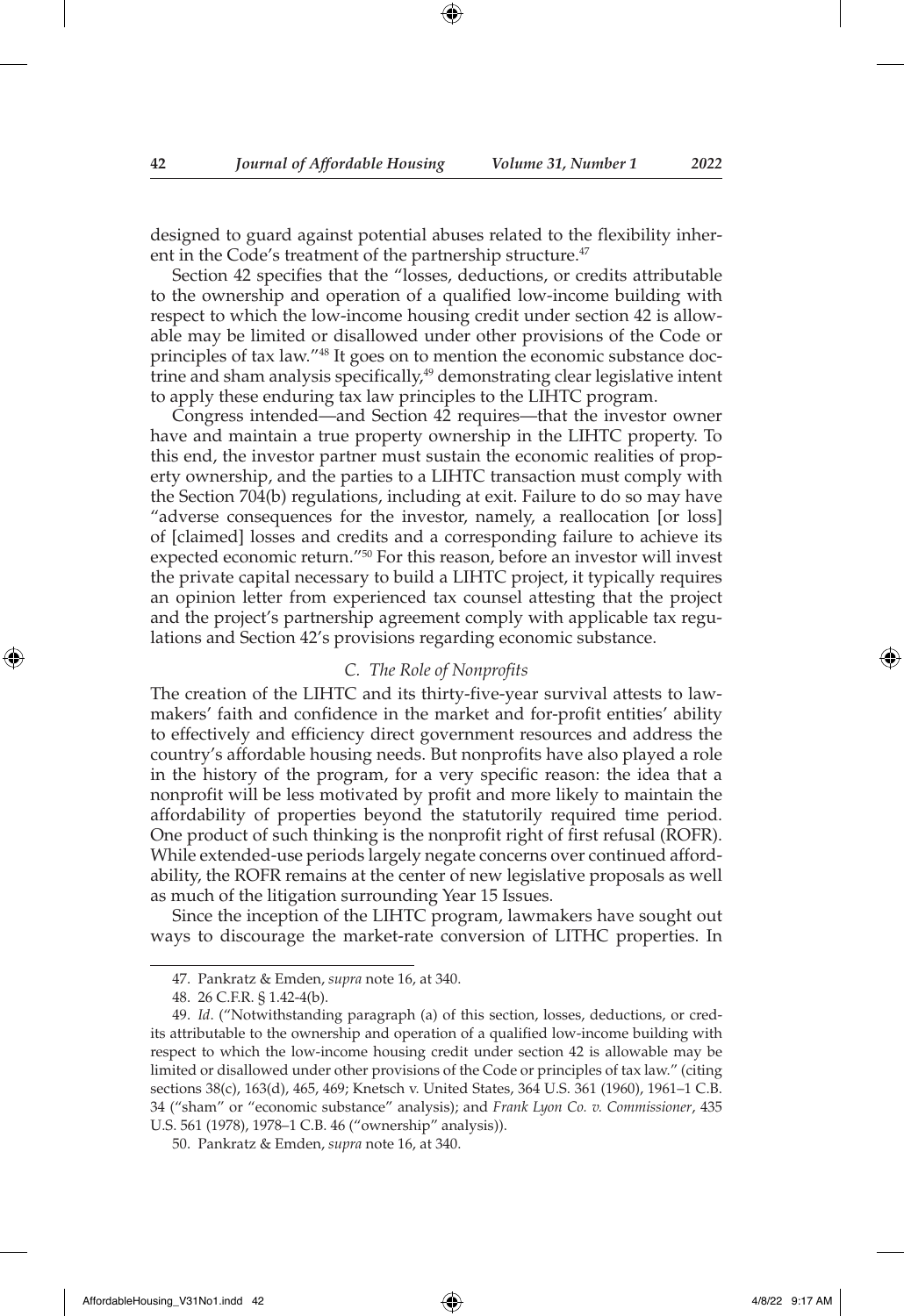designed to guard against potential abuses related to the flexibility inherent in the Code's treatment of the partnership structure.<sup>47</sup>

Section 42 specifies that the "losses, deductions, or credits attributable to the ownership and operation of a qualified low-income building with respect to which the low-income housing credit under section 42 is allowable may be limited or disallowed under other provisions of the Code or principles of tax law."48 It goes on to mention the economic substance doctrine and sham analysis specifically,<sup>49</sup> demonstrating clear legislative intent to apply these enduring tax law principles to the LIHTC program.

Congress intended—and Section 42 requires—that the investor owner have and maintain a true property ownership in the LIHTC property. To this end, the investor partner must sustain the economic realities of property ownership, and the parties to a LIHTC transaction must comply with the Section 704(b) regulations, including at exit. Failure to do so may have "adverse consequences for the investor, namely, a reallocation [or loss] of [claimed] losses and credits and a corresponding failure to achieve its expected economic return."50 For this reason, before an investor will invest the private capital necessary to build a LIHTC project, it typically requires an opinion letter from experienced tax counsel attesting that the project and the project's partnership agreement comply with applicable tax regulations and Section 42's provisions regarding economic substance.

## *C. The Role of Nonprofits*

The creation of the LIHTC and its thirty-five-year survival attests to lawmakers' faith and confidence in the market and for-profit entities' ability to effectively and efficiency direct government resources and address the country's affordable housing needs. But nonprofits have also played a role in the history of the program, for a very specific reason: the idea that a nonprofit will be less motivated by profit and more likely to maintain the affordability of properties beyond the statutorily required time period. One product of such thinking is the nonprofit right of first refusal (ROFR). While extended-use periods largely negate concerns over continued affordability, the ROFR remains at the center of new legislative proposals as well as much of the litigation surrounding Year 15 Issues.

Since the inception of the LIHTC program, lawmakers have sought out ways to discourage the market-rate conversion of LITHC properties. In

<sup>47.</sup> Pankratz & Emden, *supra* note 16, at 340.

<sup>48.</sup> 26 C.F.R. § 1.42-4(b).

<sup>49.</sup> *Id*. ("Notwithstanding paragraph (a) of this section, losses, deductions, or credits attributable to the ownership and operation of a qualified low-income building with respect to which the low-income housing credit under section 42 is allowable may be limited or disallowed under other provisions of the Code or principles of tax law." (citing sections 38(c), 163(d), 465, 469; Knetsch v. United States, 364 U.S. 361 (1960), 1961–1 C.B. 34 ("sham" or "economic substance" analysis); and *Frank Lyon Co. v. Commissioner*, 435 U.S. 561 (1978), 1978–1 C.B. 46 ("ownership" analysis)).

<sup>50.</sup> Pankratz & Emden, *supra* note 16, at 340.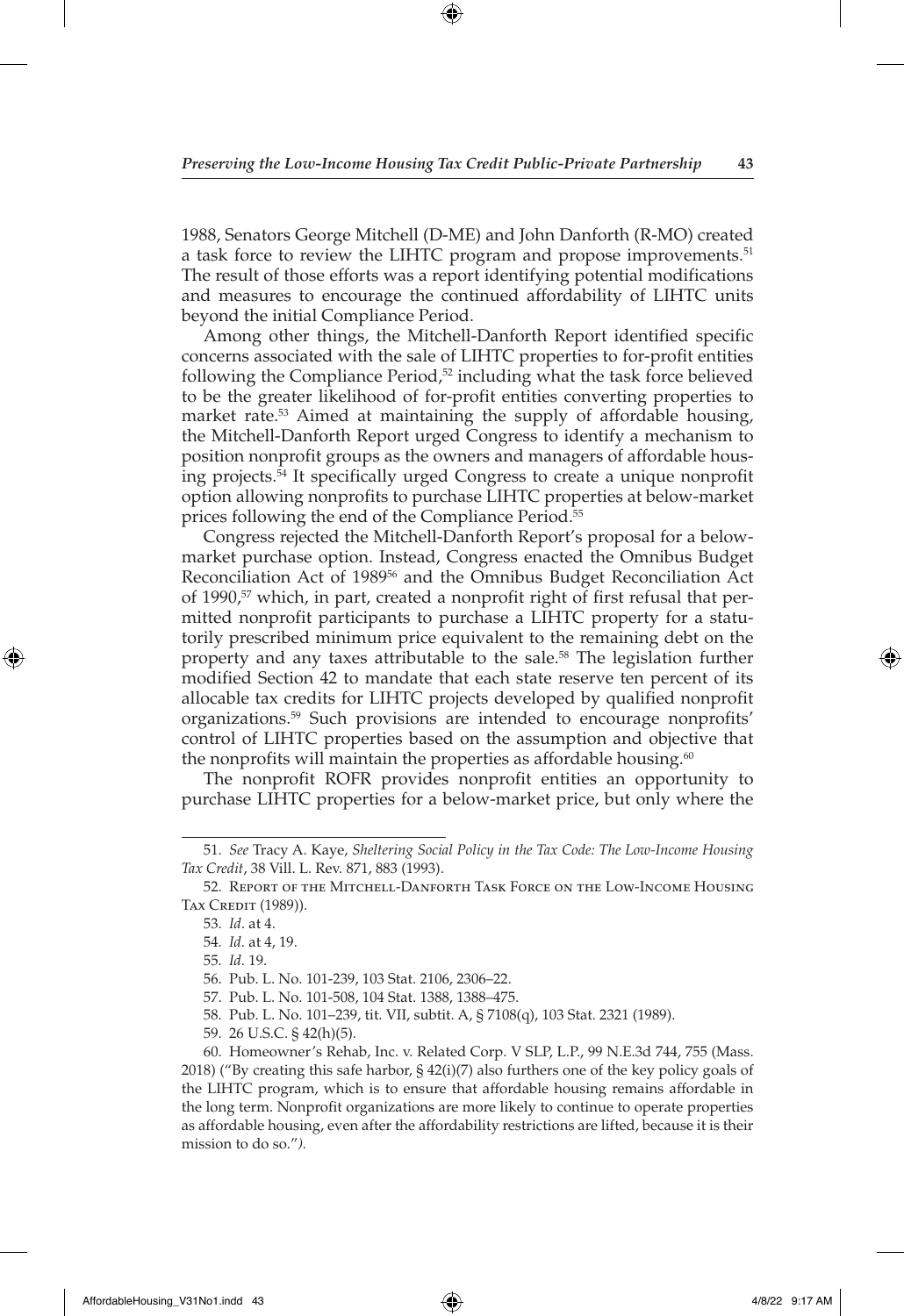1988, Senators George Mitchell (D-ME) and John Danforth (R-MO) created a task force to review the LIHTC program and propose improvements.<sup>51</sup> The result of those efforts was a report identifying potential modifications and measures to encourage the continued affordability of LIHTC units beyond the initial Compliance Period.

Among other things, the Mitchell-Danforth Report identified specific concerns associated with the sale of LIHTC properties to for-profit entities following the Compliance Period,<sup>52</sup> including what the task force believed to be the greater likelihood of for-profit entities converting properties to market rate.<sup>53</sup> Aimed at maintaining the supply of affordable housing, the Mitchell-Danforth Report urged Congress to identify a mechanism to position nonprofit groups as the owners and managers of affordable housing projects.54 It specifically urged Congress to create a unique nonprofit option allowing nonprofits to purchase LIHTC properties at below-market prices following the end of the Compliance Period.<sup>55</sup>

Congress rejected the Mitchell-Danforth Report's proposal for a belowmarket purchase option. Instead, Congress enacted the Omnibus Budget Reconciliation Act of 1989<sup>56</sup> and the Omnibus Budget Reconciliation Act of 1990,<sup>57</sup> which, in part, created a nonprofit right of first refusal that permitted nonprofit participants to purchase a LIHTC property for a statutorily prescribed minimum price equivalent to the remaining debt on the property and any taxes attributable to the sale.<sup>58</sup> The legislation further modified Section 42 to mandate that each state reserve ten percent of its allocable tax credits for LIHTC projects developed by qualified nonprofit organizations.59 Such provisions are intended to encourage nonprofits' control of LIHTC properties based on the assumption and objective that the nonprofits will maintain the properties as affordable housing. $60$ 

The nonprofit ROFR provides nonprofit entities an opportunity to purchase LIHTC properties for a below-market price, but only where the

53. *Id*. at 4.

↔

55. *Id.* 19.

<sup>51.</sup> *See* Tracy A. Kaye, *Sheltering Social Policy in the Tax Code: The Low-Income Housing Tax Credit*, 38 Vill. L. Rev. 871, 883 (1993).

<sup>52.</sup> Report of the Mitchell-Danforth Task Force on the Low-Income Housing TAX CREDIT (1989)).

<sup>54.</sup> *Id.* at 4, 19.

<sup>56.</sup> Pub. L. No. 101-239, 103 Stat. 2106, 2306–22.

<sup>57.</sup> Pub. L. No. 101-508, 104 Stat. 1388, 1388–475.

<sup>58.</sup> Pub. L. No. 101–239, tit. VII, subtit. A, § 7108(q), 103 Stat. 2321 (1989).

<sup>59.</sup> 26 U.S.C. § 42(h)(5).

<sup>60.</sup> Homeowner's Rehab, Inc. v. Related Corp. V SLP, L.P., 99 N.E.3d 744, 755 (Mass. 2018) ("By creating this safe harbor, § 42(i)(7) also furthers one of the key policy goals of the LIHTC program, which is to ensure that affordable housing remains affordable in the long term. Nonprofit organizations are more likely to continue to operate properties as affordable housing, even after the affordability restrictions are lifted, because it is their mission to do so."*).*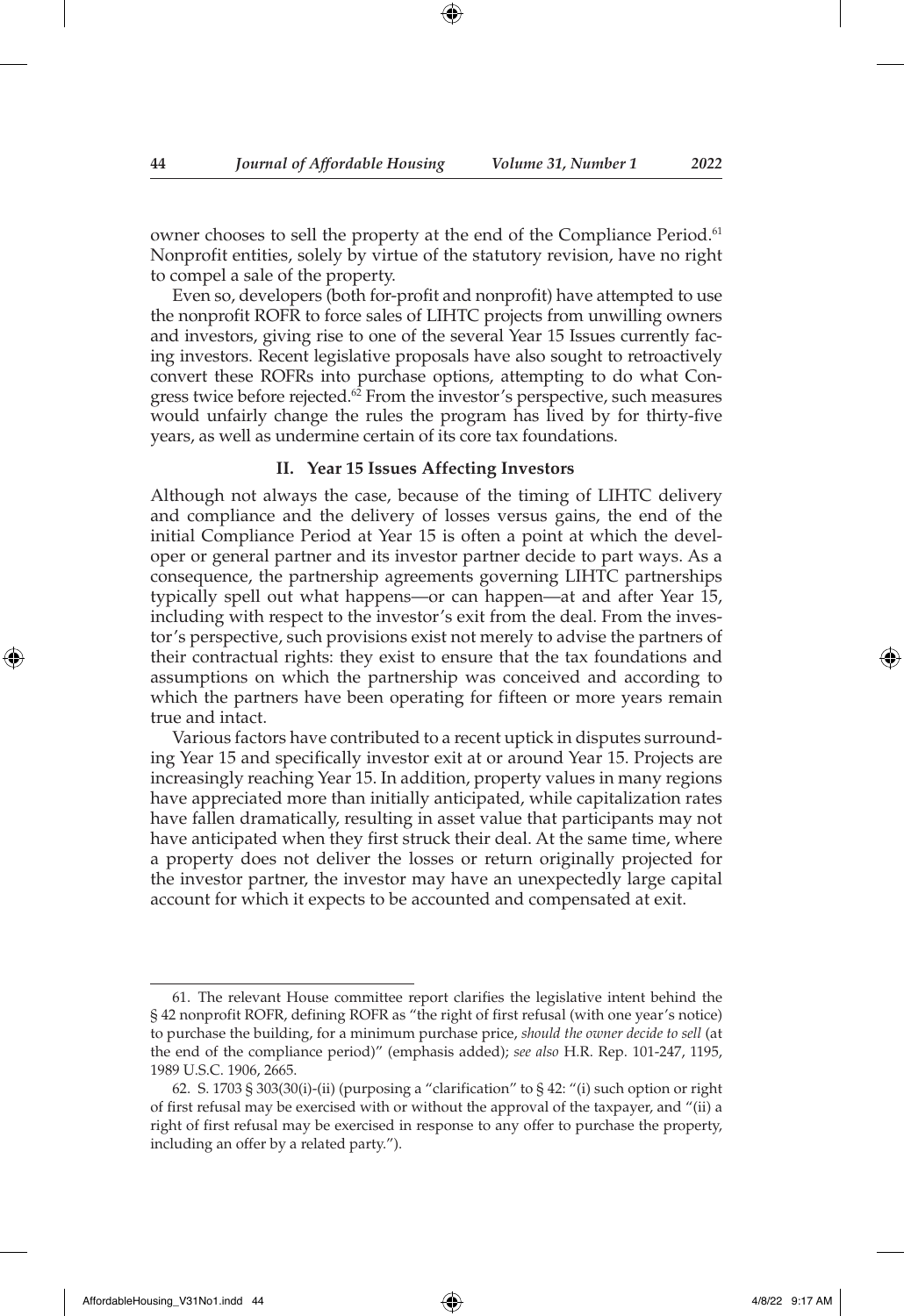owner chooses to sell the property at the end of the Compliance Period.<sup>61</sup> Nonprofit entities, solely by virtue of the statutory revision, have no right to compel a sale of the property.

Even so, developers (both for-profit and nonprofit) have attempted to use the nonprofit ROFR to force sales of LIHTC projects from unwilling owners and investors, giving rise to one of the several Year 15 Issues currently facing investors. Recent legislative proposals have also sought to retroactively convert these ROFRs into purchase options, attempting to do what Congress twice before rejected.<sup>62</sup> From the investor's perspective, such measures would unfairly change the rules the program has lived by for thirty-five years, as well as undermine certain of its core tax foundations.

#### **II. Year 15 Issues Affecting Investors**

Although not always the case, because of the timing of LIHTC delivery and compliance and the delivery of losses versus gains, the end of the initial Compliance Period at Year 15 is often a point at which the developer or general partner and its investor partner decide to part ways. As a consequence, the partnership agreements governing LIHTC partnerships typically spell out what happens—or can happen—at and after Year 15, including with respect to the investor's exit from the deal. From the investor's perspective, such provisions exist not merely to advise the partners of their contractual rights: they exist to ensure that the tax foundations and assumptions on which the partnership was conceived and according to which the partners have been operating for fifteen or more years remain true and intact.

Various factors have contributed to a recent uptick in disputes surrounding Year 15 and specifically investor exit at or around Year 15. Projects are increasingly reaching Year 15. In addition, property values in many regions have appreciated more than initially anticipated, while capitalization rates have fallen dramatically, resulting in asset value that participants may not have anticipated when they first struck their deal. At the same time, where a property does not deliver the losses or return originally projected for the investor partner, the investor may have an unexpectedly large capital account for which it expects to be accounted and compensated at exit.

<sup>61.</sup> The relevant House committee report clarifies the legislative intent behind the § 42 nonprofit ROFR, defining ROFR as "the right of first refusal (with one year's notice) to purchase the building, for a minimum purchase price, *should the owner decide to sell* (at the end of the compliance period)" (emphasis added); *see also* H.R. Rep. 101-247, 1195, 1989 U.S.C. 1906, 2665.

<sup>62.</sup> S. 1703 § 303(30(i)-(ii) (purposing a "clarification" to § 42: "(i) such option or right of first refusal may be exercised with or without the approval of the taxpayer, and "(ii) a right of first refusal may be exercised in response to any offer to purchase the property, including an offer by a related party.").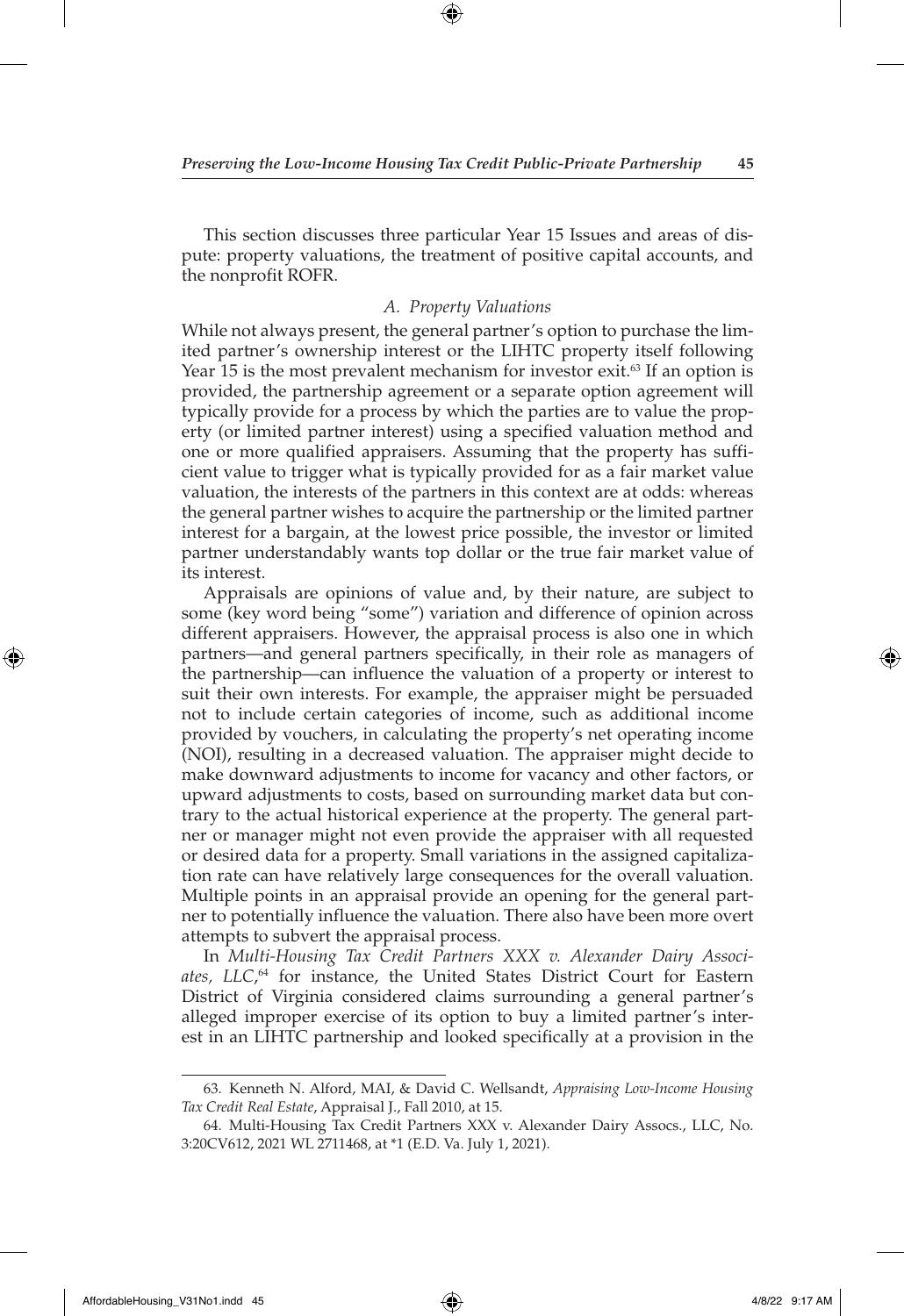This section discusses three particular Year 15 Issues and areas of dispute: property valuations, the treatment of positive capital accounts, and the nonprofit ROFR.

## *A. Property Valuations*

While not always present, the general partner's option to purchase the limited partner's ownership interest or the LIHTC property itself following Year 15 is the most prevalent mechanism for investor exit. $63$  If an option is provided, the partnership agreement or a separate option agreement will typically provide for a process by which the parties are to value the property (or limited partner interest) using a specified valuation method and one or more qualified appraisers. Assuming that the property has sufficient value to trigger what is typically provided for as a fair market value valuation, the interests of the partners in this context are at odds: whereas the general partner wishes to acquire the partnership or the limited partner interest for a bargain, at the lowest price possible, the investor or limited partner understandably wants top dollar or the true fair market value of its interest.

Appraisals are opinions of value and, by their nature, are subject to some (key word being "some") variation and difference of opinion across different appraisers. However, the appraisal process is also one in which partners—and general partners specifically, in their role as managers of the partnership—can influence the valuation of a property or interest to suit their own interests. For example, the appraiser might be persuaded not to include certain categories of income, such as additional income provided by vouchers, in calculating the property's net operating income (NOI), resulting in a decreased valuation. The appraiser might decide to make downward adjustments to income for vacancy and other factors, or upward adjustments to costs, based on surrounding market data but contrary to the actual historical experience at the property. The general partner or manager might not even provide the appraiser with all requested or desired data for a property. Small variations in the assigned capitalization rate can have relatively large consequences for the overall valuation. Multiple points in an appraisal provide an opening for the general partner to potentially influence the valuation. There also have been more overt attempts to subvert the appraisal process.

In *Multi-Housing Tax Credit Partners XXX v. Alexander Dairy Associates, LLC*, 64 for instance, the United States District Court for Eastern District of Virginia considered claims surrounding a general partner's alleged improper exercise of its option to buy a limited partner's interest in an LIHTC partnership and looked specifically at a provision in the

<sup>63.</sup> Kenneth N. Alford, MAI, & David C. Wellsandt, *Appraising Low-Income Housing Tax Credit Real Estate*, Appraisal J., Fall 2010, at 15.

<sup>64.</sup> Multi-Housing Tax Credit Partners XXX v. Alexander Dairy Assocs., LLC, No. 3:20CV612, 2021 WL 2711468, at \*1 (E.D. Va. July 1, 2021).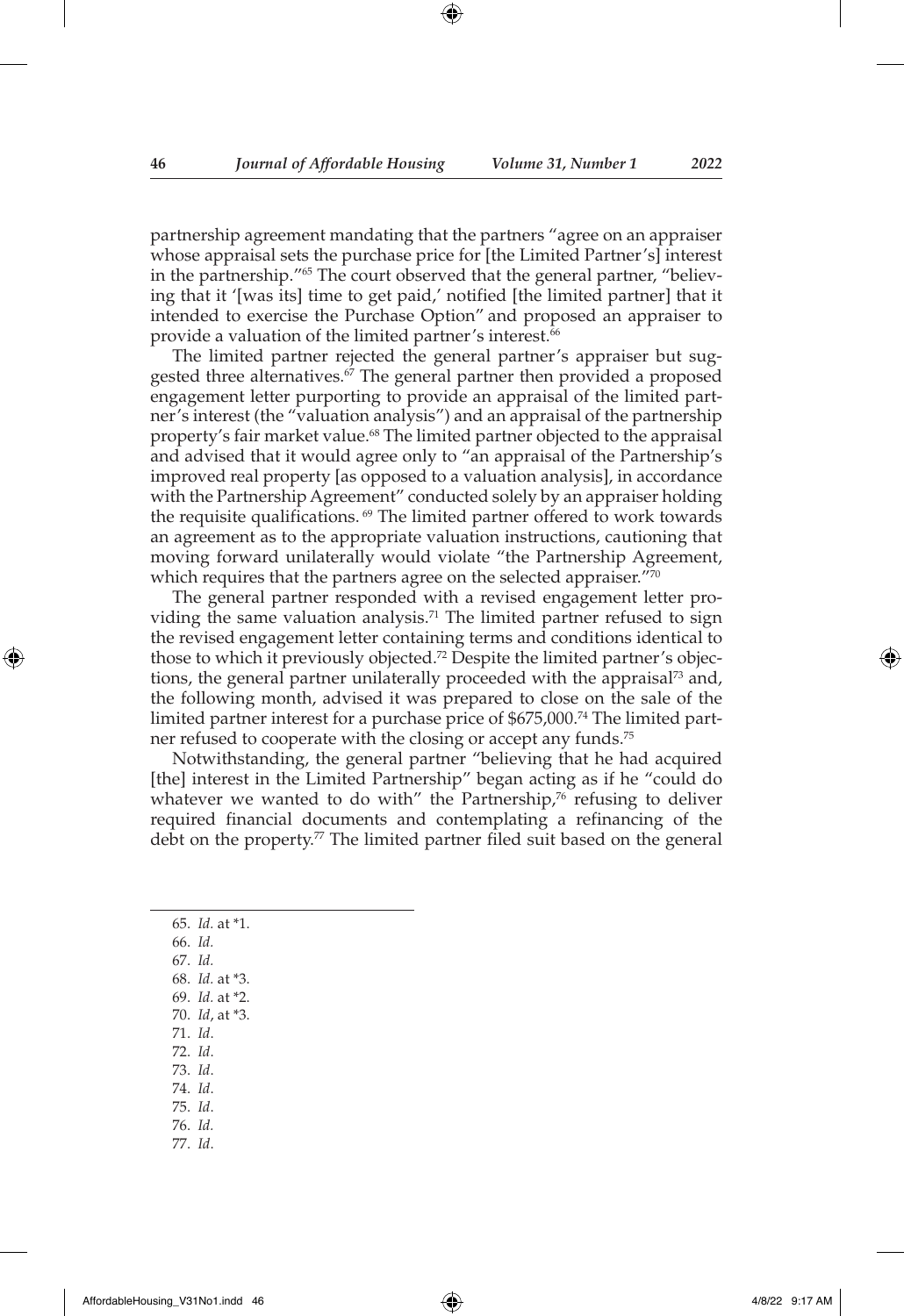partnership agreement mandating that the partners "agree on an appraiser whose appraisal sets the purchase price for [the Limited Partner's] interest in the partnership."65 The court observed that the general partner, "believing that it '[was its] time to get paid,' notified [the limited partner] that it intended to exercise the Purchase Option" and proposed an appraiser to provide a valuation of the limited partner's interest.<sup>66</sup>

The limited partner rejected the general partner's appraiser but suggested three alternatives.<sup>67</sup> The general partner then provided a proposed engagement letter purporting to provide an appraisal of the limited partner's interest (the "valuation analysis") and an appraisal of the partnership property's fair market value.<sup>68</sup> The limited partner objected to the appraisal and advised that it would agree only to "an appraisal of the Partnership's improved real property [as opposed to a valuation analysis], in accordance with the Partnership Agreement" conducted solely by an appraiser holding the requisite qualifications.<sup>69</sup> The limited partner offered to work towards an agreement as to the appropriate valuation instructions, cautioning that moving forward unilaterally would violate "the Partnership Agreement, which requires that the partners agree on the selected appraiser."70

The general partner responded with a revised engagement letter providing the same valuation analysis.<sup>71</sup> The limited partner refused to sign the revised engagement letter containing terms and conditions identical to those to which it previously objected.<sup>72</sup> Despite the limited partner's objections, the general partner unilaterally proceeded with the appraisal<sup>73</sup> and, the following month, advised it was prepared to close on the sale of the limited partner interest for a purchase price of \$675,000.74 The limited partner refused to cooperate with the closing or accept any funds.<sup>75</sup>

Notwithstanding, the general partner "believing that he had acquired [the] interest in the Limited Partnership" began acting as if he "could do whatever we wanted to do with" the Partnership, $76$  refusing to deliver required financial documents and contemplating a refinancing of the debt on the property.<sup>77</sup> The limited partner filed suit based on the general

| 65. Id. at *1.           |
|--------------------------|
| 66. Id.                  |
| 67. Id.                  |
| 68. Id. at *3.           |
| 69. <i>Id.</i> at $*2$ . |
| 70. Id, at *3.           |
| 71. Id.                  |
| 72. Id.                  |
| 73. Id.                  |
| 74. Id.                  |
| 75. Id.                  |
| 76. Id.                  |
| 77. Id.                  |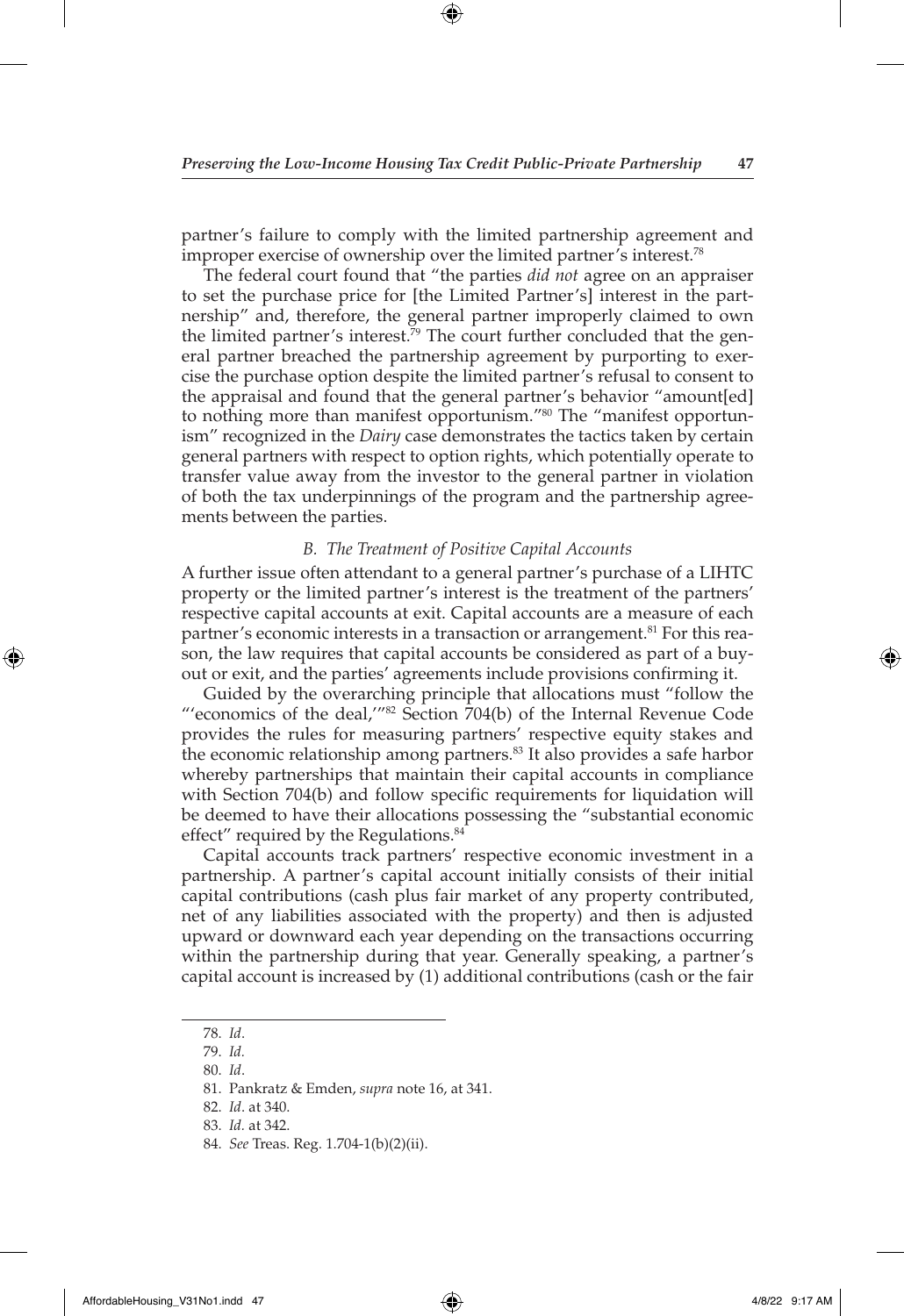⊕

partner's failure to comply with the limited partnership agreement and improper exercise of ownership over the limited partner's interest.78

The federal court found that "the parties *did not* agree on an appraiser to set the purchase price for [the Limited Partner's] interest in the partnership" and, therefore, the general partner improperly claimed to own the limited partner's interest.<sup>79</sup> The court further concluded that the general partner breached the partnership agreement by purporting to exercise the purchase option despite the limited partner's refusal to consent to the appraisal and found that the general partner's behavior "amount[ed] to nothing more than manifest opportunism."80 The "manifest opportunism" recognized in the *Dairy* case demonstrates the tactics taken by certain general partners with respect to option rights, which potentially operate to transfer value away from the investor to the general partner in violation of both the tax underpinnings of the program and the partnership agreements between the parties.

#### *B. The Treatment of Positive Capital Accounts*

A further issue often attendant to a general partner's purchase of a LIHTC property or the limited partner's interest is the treatment of the partners' respective capital accounts at exit. Capital accounts are a measure of each partner's economic interests in a transaction or arrangement.<sup>81</sup> For this reason, the law requires that capital accounts be considered as part of a buyout or exit, and the parties' agreements include provisions confirming it.

Guided by the overarching principle that allocations must "follow the "'economics of the deal,'"82 Section 704(b) of the Internal Revenue Code provides the rules for measuring partners' respective equity stakes and the economic relationship among partners.<sup>83</sup> It also provides a safe harbor whereby partnerships that maintain their capital accounts in compliance with Section 704(b) and follow specific requirements for liquidation will be deemed to have their allocations possessing the "substantial economic effect" required by the Regulations.<sup>84</sup>

Capital accounts track partners' respective economic investment in a partnership. A partner's capital account initially consists of their initial capital contributions (cash plus fair market of any property contributed, net of any liabilities associated with the property) and then is adjusted upward or downward each year depending on the transactions occurring within the partnership during that year. Generally speaking, a partner's capital account is increased by (1) additional contributions (cash or the fair

<sup>78.</sup> *Id*.

<sup>79.</sup> *Id.*

<sup>80.</sup> *Id*.

<sup>81.</sup> Pankratz & Emden, *supra* note 16, at 341.

<sup>82.</sup> *Id*. at 340.

<sup>83.</sup> *Id.* at 342.

<sup>84.</sup> *See* Treas. Reg. 1.704-1(b)(2)(ii).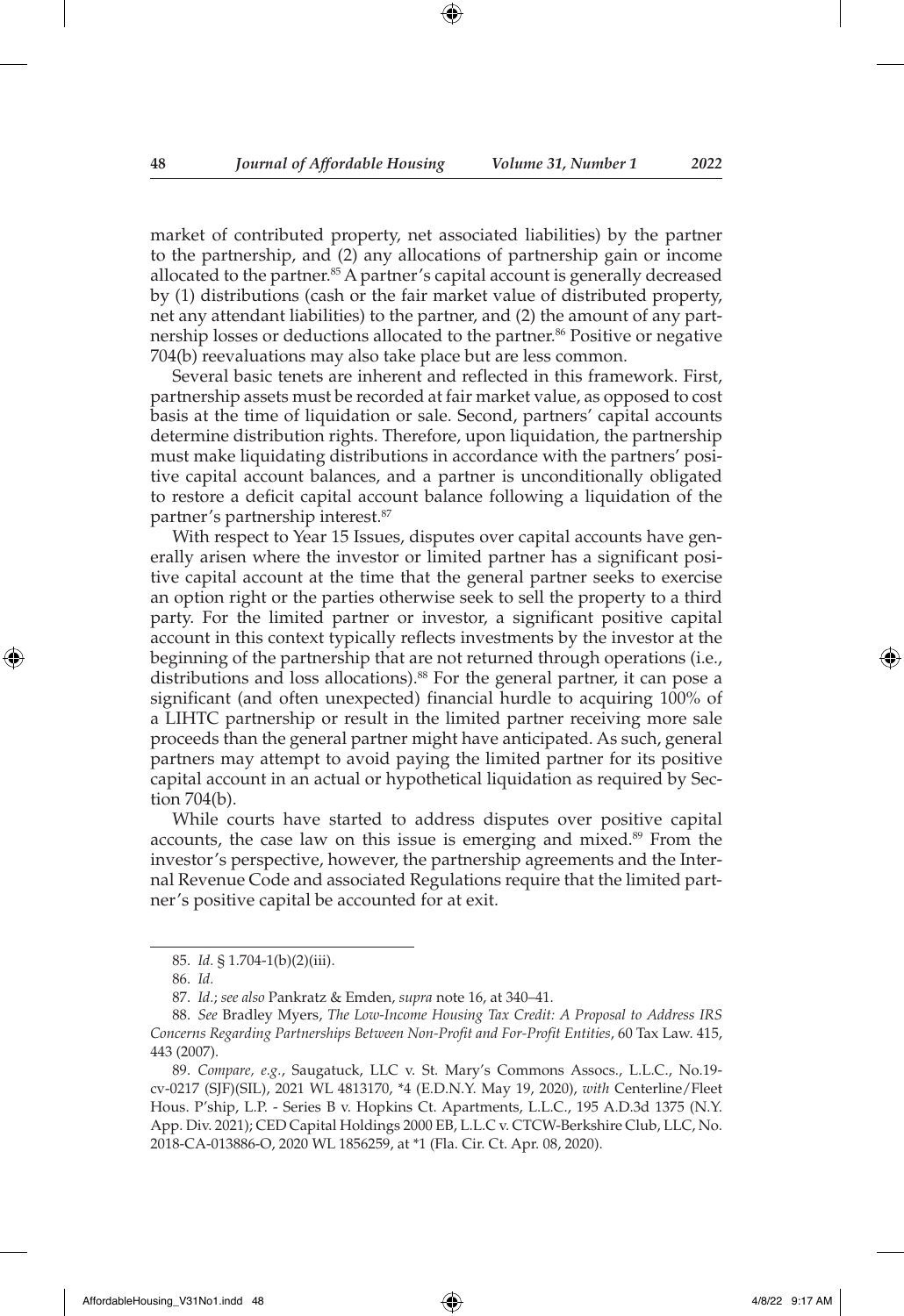market of contributed property, net associated liabilities) by the partner to the partnership, and (2) any allocations of partnership gain or income allocated to the partner.<sup>85</sup> A partner's capital account is generally decreased by (1) distributions (cash or the fair market value of distributed property, net any attendant liabilities) to the partner, and (2) the amount of any partnership losses or deductions allocated to the partner.<sup>86</sup> Positive or negative 704(b) reevaluations may also take place but are less common.

Several basic tenets are inherent and reflected in this framework. First, partnership assets must be recorded at fair market value, as opposed to cost basis at the time of liquidation or sale. Second, partners' capital accounts determine distribution rights. Therefore, upon liquidation, the partnership must make liquidating distributions in accordance with the partners' positive capital account balances, and a partner is unconditionally obligated to restore a deficit capital account balance following a liquidation of the partner's partnership interest.87

With respect to Year 15 Issues, disputes over capital accounts have generally arisen where the investor or limited partner has a significant positive capital account at the time that the general partner seeks to exercise an option right or the parties otherwise seek to sell the property to a third party. For the limited partner or investor, a significant positive capital account in this context typically reflects investments by the investor at the beginning of the partnership that are not returned through operations (i.e., distributions and loss allocations).<sup>88</sup> For the general partner, it can pose a significant (and often unexpected) financial hurdle to acquiring 100% of a LIHTC partnership or result in the limited partner receiving more sale proceeds than the general partner might have anticipated. As such, general partners may attempt to avoid paying the limited partner for its positive capital account in an actual or hypothetical liquidation as required by Section 704(b).

While courts have started to address disputes over positive capital accounts, the case law on this issue is emerging and mixed.<sup>89</sup> From the investor's perspective, however, the partnership agreements and the Internal Revenue Code and associated Regulations require that the limited partner's positive capital be accounted for at exit.

<sup>85.</sup> *Id.* § 1.704-1(b)(2)(iii).

<sup>86.</sup> *Id.*

<sup>87.</sup> *Id.*; *see also* Pankratz & Emden, *supra* note 16, at 340–41.

<sup>88.</sup> *See* Bradley Myers, *The Low-Income Housing Tax Credit: A Proposal to Address IRS Concerns Regarding Partnerships Between Non-Profit and For-Profit Entities*, 60 Tax Law. 415, 443 (2007).

<sup>89.</sup> *Compare, e.g.*, Saugatuck, LLC v. St. Mary's Commons Assocs., L.L.C., No.19 cv-0217 (SJF)(SIL), 2021 WL 4813170, \*4 (E.D.N.Y. May 19, 2020), *with* Centerline/Fleet Hous. P'ship, L.P. - Series B v. Hopkins Ct. Apartments, L.L.C., 195 A.D.3d 1375 (N.Y. App. Div. 2021); CED Capital Holdings 2000 EB, L.L.C v. CTCW-Berkshire Club, LLC, No. 2018-CA-013886-O, 2020 WL 1856259, at \*1 (Fla. Cir. Ct. Apr. 08, 2020).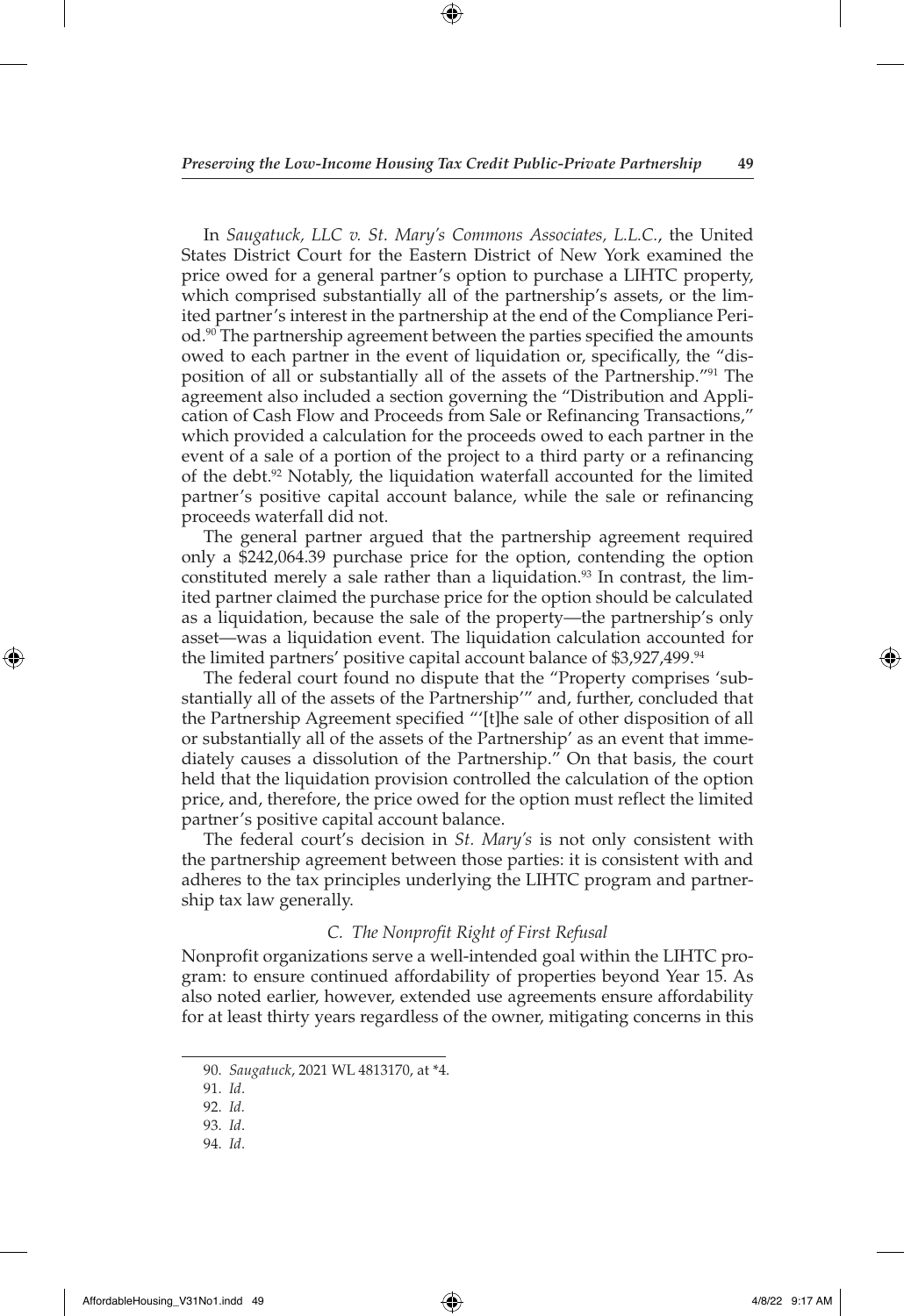⊕

In *Saugatuck, LLC v. St. Mary's Commons Associates, L.L.C.*, the United States District Court for the Eastern District of New York examined the price owed for a general partner's option to purchase a LIHTC property, which comprised substantially all of the partnership's assets, or the limited partner's interest in the partnership at the end of the Compliance Period.90 The partnership agreement between the parties specified the amounts owed to each partner in the event of liquidation or, specifically, the "disposition of all or substantially all of the assets of the Partnership."91 The agreement also included a section governing the "Distribution and Application of Cash Flow and Proceeds from Sale or Refinancing Transactions," which provided a calculation for the proceeds owed to each partner in the event of a sale of a portion of the project to a third party or a refinancing of the debt.92 Notably, the liquidation waterfall accounted for the limited partner's positive capital account balance, while the sale or refinancing proceeds waterfall did not.

The general partner argued that the partnership agreement required only a \$242,064.39 purchase price for the option, contending the option constituted merely a sale rather than a liquidation.<sup>93</sup> In contrast, the limited partner claimed the purchase price for the option should be calculated as a liquidation, because the sale of the property—the partnership's only asset—was a liquidation event. The liquidation calculation accounted for the limited partners' positive capital account balance of \$3,927,499.<sup>94</sup>

The federal court found no dispute that the "Property comprises 'substantially all of the assets of the Partnership'" and, further, concluded that the Partnership Agreement specified "'[t]he sale of other disposition of all or substantially all of the assets of the Partnership' as an event that immediately causes a dissolution of the Partnership." On that basis, the court held that the liquidation provision controlled the calculation of the option price, and, therefore, the price owed for the option must reflect the limited partner's positive capital account balance.

The federal court's decision in *St. Mary's* is not only consistent with the partnership agreement between those parties: it is consistent with and adheres to the tax principles underlying the LIHTC program and partnership tax law generally.

#### *C. The Nonprofit Right of First Refusal*

Nonprofit organizations serve a well-intended goal within the LIHTC program: to ensure continued affordability of properties beyond Year 15. As also noted earlier, however, extended use agreements ensure affordability for at least thirty years regardless of the owner, mitigating concerns in this

AffordableHousing\_V31No1.indd 49 4/8/22 9:17 AM

◈

 $\Leftrightarrow$ 

<sup>90.</sup> *Saugatuck*, 2021 WL 4813170, at \*4.

<sup>91.</sup> *Id*.

<sup>92.</sup> *Id.*

<sup>93.</sup> *Id*.

<sup>94.</sup> *Id*.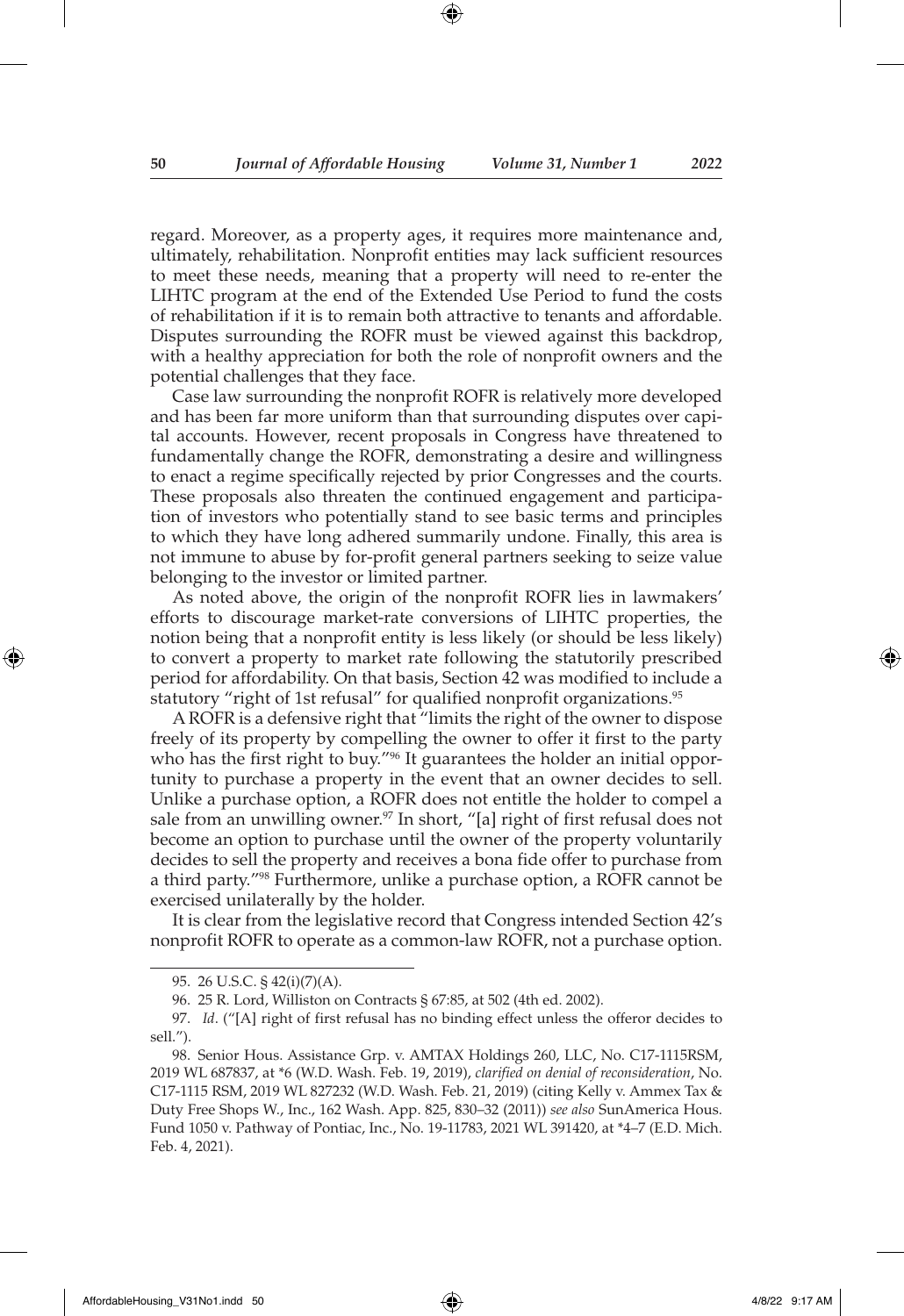regard. Moreover, as a property ages, it requires more maintenance and, ultimately, rehabilitation. Nonprofit entities may lack sufficient resources to meet these needs, meaning that a property will need to re-enter the LIHTC program at the end of the Extended Use Period to fund the costs of rehabilitation if it is to remain both attractive to tenants and affordable. Disputes surrounding the ROFR must be viewed against this backdrop, with a healthy appreciation for both the role of nonprofit owners and the potential challenges that they face.

Case law surrounding the nonprofit ROFR is relatively more developed and has been far more uniform than that surrounding disputes over capital accounts. However, recent proposals in Congress have threatened to fundamentally change the ROFR, demonstrating a desire and willingness to enact a regime specifically rejected by prior Congresses and the courts. These proposals also threaten the continued engagement and participation of investors who potentially stand to see basic terms and principles to which they have long adhered summarily undone. Finally, this area is not immune to abuse by for-profit general partners seeking to seize value belonging to the investor or limited partner.

As noted above, the origin of the nonprofit ROFR lies in lawmakers' efforts to discourage market-rate conversions of LIHTC properties, the notion being that a nonprofit entity is less likely (or should be less likely) to convert a property to market rate following the statutorily prescribed period for affordability. On that basis, Section 42 was modified to include a statutory "right of 1st refusal" for qualified nonprofit organizations.<sup>95</sup>

A ROFR is a defensive right that "limits the right of the owner to dispose freely of its property by compelling the owner to offer it first to the party who has the first right to buy."<sup>96</sup> It guarantees the holder an initial opportunity to purchase a property in the event that an owner decides to sell. Unlike a purchase option, a ROFR does not entitle the holder to compel a sale from an unwilling owner.<sup>97</sup> In short, "[a] right of first refusal does not become an option to purchase until the owner of the property voluntarily decides to sell the property and receives a bona fide offer to purchase from a third party."98 Furthermore, unlike a purchase option, a ROFR cannot be exercised unilaterally by the holder.

It is clear from the legislative record that Congress intended Section 42's nonprofit ROFR to operate as a common-law ROFR, not a purchase option.

<sup>95.</sup> 26 U.S.C. § 42(i)(7)(A).

<sup>96.</sup> 25 R. Lord, Williston on Contracts § 67:85, at 502 (4th ed. 2002).

<sup>97.</sup> *Id*. ("[A] right of first refusal has no binding effect unless the offeror decides to sell.").

<sup>98.</sup> Senior Hous. Assistance Grp. v. AMTAX Holdings 260, LLC, No. C17-1115RSM, 2019 WL 687837, at \*6 (W.D. Wash. Feb. 19, 2019), *clarified on denial of reconsideration*, No. C17-1115 RSM, 2019 WL 827232 (W.D. Wash. Feb. 21, 2019) (citing Kelly v. Ammex Tax & Duty Free Shops W., Inc., 162 Wash. App. 825, 830–32 (2011)) *see also* SunAmerica Hous. Fund 1050 v. Pathway of Pontiac, Inc., No. 19-11783, 2021 WL 391420, at \*4–7 (E.D. Mich. Feb. 4, 2021).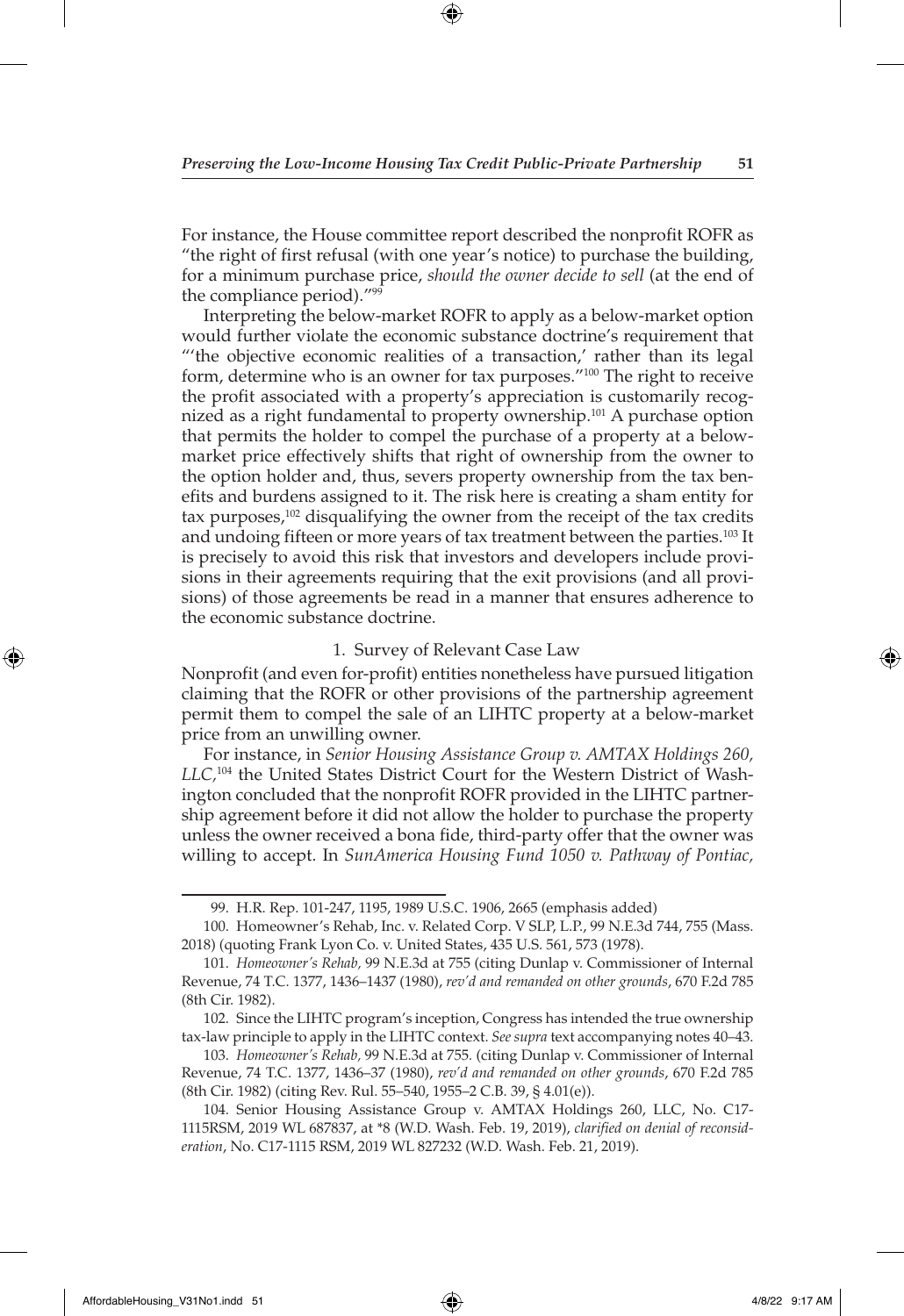For instance, the House committee report described the nonprofit ROFR as "the right of first refusal (with one year's notice) to purchase the building, for a minimum purchase price, *should the owner decide to sell* (at the end of the compliance period)."99

Interpreting the below-market ROFR to apply as a below-market option would further violate the economic substance doctrine's requirement that "'the objective economic realities of a transaction,' rather than its legal form, determine who is an owner for tax purposes."<sup>100</sup> The right to receive the profit associated with a property's appreciation is customarily recognized as a right fundamental to property ownership.<sup>101</sup> A purchase option that permits the holder to compel the purchase of a property at a belowmarket price effectively shifts that right of ownership from the owner to the option holder and, thus, severs property ownership from the tax benefits and burdens assigned to it. The risk here is creating a sham entity for tax purposes,<sup>102</sup> disqualifying the owner from the receipt of the tax credits and undoing fifteen or more years of tax treatment between the parties.<sup>103</sup> It is precisely to avoid this risk that investors and developers include provisions in their agreements requiring that the exit provisions (and all provisions) of those agreements be read in a manner that ensures adherence to the economic substance doctrine.

#### 1. Survey of Relevant Case Law

Nonprofit (and even for-profit) entities nonetheless have pursued litigation claiming that the ROFR or other provisions of the partnership agreement permit them to compel the sale of an LIHTC property at a below-market price from an unwilling owner.

For instance, in *Senior Housing Assistance Group v. AMTAX Holdings 260, LLC,*104 the United States District Court for the Western District of Washington concluded that the nonprofit ROFR provided in the LIHTC partnership agreement before it did not allow the holder to purchase the property unless the owner received a bona fide, third-party offer that the owner was willing to accept. In *SunAmerica Housing Fund 1050 v. Pathway of Pontiac,* 

103. *Homeowner's Rehab,* 99 N.E.3d at 755*.* (citing Dunlap v. Commissioner of Internal Revenue, 74 T.C. 1377, 1436–37 (1980), *rev'd and remanded on other grounds*, 670 F.2d 785 (8th Cir. 1982) (citing Rev. Rul. 55–540, 1955–2 C.B. 39, § 4.01(e)).

AffordableHousing\_V31No1.indd 51 4/8/22 9:17 AM

◈

<sup>99.</sup> H.R. Rep. 101-247, 1195, 1989 U.S.C. 1906, 2665 (emphasis added)

<sup>100.</sup> Homeowner's Rehab, Inc. v. Related Corp. V SLP, L.P., 99 N.E.3d 744, 755 (Mass. 2018) (quoting Frank Lyon Co. v. United States, 435 U.S. 561, 573 (1978).

<sup>101.</sup> *Homeowner's Rehab,* 99 N.E.3d at 755 (citing Dunlap v. Commissioner of Internal Revenue, 74 T.C. 1377, 1436–1437 (1980), *rev'd and remanded on other grounds*, 670 F.2d 785 (8th Cir. 1982).

<sup>102.</sup> Since the LIHTC program's inception, Congress has intended the true ownership tax-law principle to apply in the LIHTC context. *See supra* text accompanying notes 40–43.

<sup>104.</sup> Senior Housing Assistance Group v. AMTAX Holdings 260, LLC, No. C17- 1115RSM, 2019 WL 687837, at \*8 (W.D. Wash. Feb. 19, 2019), *clarified on denial of reconsideration*, No. C17-1115 RSM, 2019 WL 827232 (W.D. Wash. Feb. 21, 2019).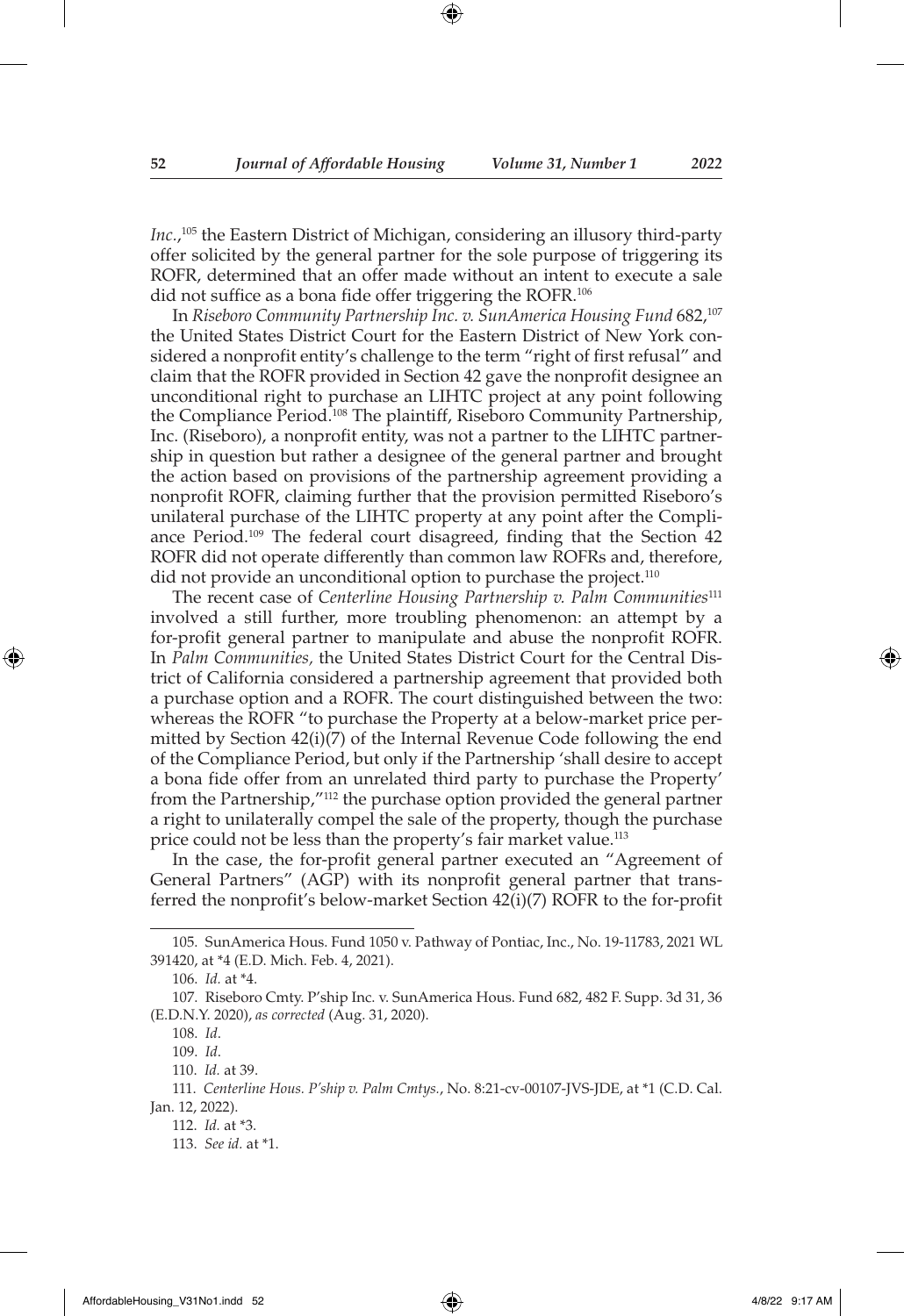*Inc.*, 105 the Eastern District of Michigan, considering an illusory third-party offer solicited by the general partner for the sole purpose of triggering its ROFR, determined that an offer made without an intent to execute a sale did not suffice as a bona fide offer triggering the ROFR.<sup>106</sup>

In *Riseboro Community Partnership Inc. v. SunAmerica Housing Fund* 682,107 the United States District Court for the Eastern District of New York considered a nonprofit entity's challenge to the term "right of first refusal" and claim that the ROFR provided in Section 42 gave the nonprofit designee an unconditional right to purchase an LIHTC project at any point following the Compliance Period.<sup>108</sup> The plaintiff, Riseboro Community Partnership, Inc. (Riseboro), a nonprofit entity, was not a partner to the LIHTC partnership in question but rather a designee of the general partner and brought the action based on provisions of the partnership agreement providing a nonprofit ROFR, claiming further that the provision permitted Riseboro's unilateral purchase of the LIHTC property at any point after the Compliance Period.<sup>109</sup> The federal court disagreed, finding that the Section 42 ROFR did not operate differently than common law ROFRs and, therefore, did not provide an unconditional option to purchase the project.<sup>110</sup>

The recent case of *Centerline Housing Partnership v. Palm Communities*<sup>111</sup> involved a still further, more troubling phenomenon: an attempt by a for-profit general partner to manipulate and abuse the nonprofit ROFR. In *Palm Communities,* the United States District Court for the Central District of California considered a partnership agreement that provided both a purchase option and a ROFR. The court distinguished between the two: whereas the ROFR "to purchase the Property at a below-market price permitted by Section 42(i)(7) of the Internal Revenue Code following the end of the Compliance Period, but only if the Partnership 'shall desire to accept a bona fide offer from an unrelated third party to purchase the Property' from the Partnership,"112 the purchase option provided the general partner a right to unilaterally compel the sale of the property, though the purchase price could not be less than the property's fair market value.113

In the case, the for-profit general partner executed an "Agreement of General Partners" (AGP) with its nonprofit general partner that transferred the nonprofit's below-market Section 42(i)(7) ROFR to the for-profit

↔

<sup>105.</sup> SunAmerica Hous. Fund 1050 v. Pathway of Pontiac, Inc., No. 19-11783, 2021 WL 391420, at \*4 (E.D. Mich. Feb. 4, 2021).

<sup>106.</sup> *Id.* at \*4.

<sup>107.</sup> Riseboro Cmty. P'ship Inc. v. SunAmerica Hous. Fund 682, 482 F. Supp. 3d 31, 36 (E.D.N.Y. 2020), *as corrected* (Aug. 31, 2020).

<sup>108.</sup> *Id*.

<sup>109.</sup> *Id*.

<sup>110.</sup> *Id.* at 39.

<sup>111.</sup> *Centerline Hous. P'ship v. Palm Cmtys.*, No. 8:21-cv-00107-JVS-JDE, at \*1 (C.D. Cal. Jan. 12, 2022).

<sup>112.</sup> *Id.* at \*3.

<sup>113.</sup> *See id.* at \*1.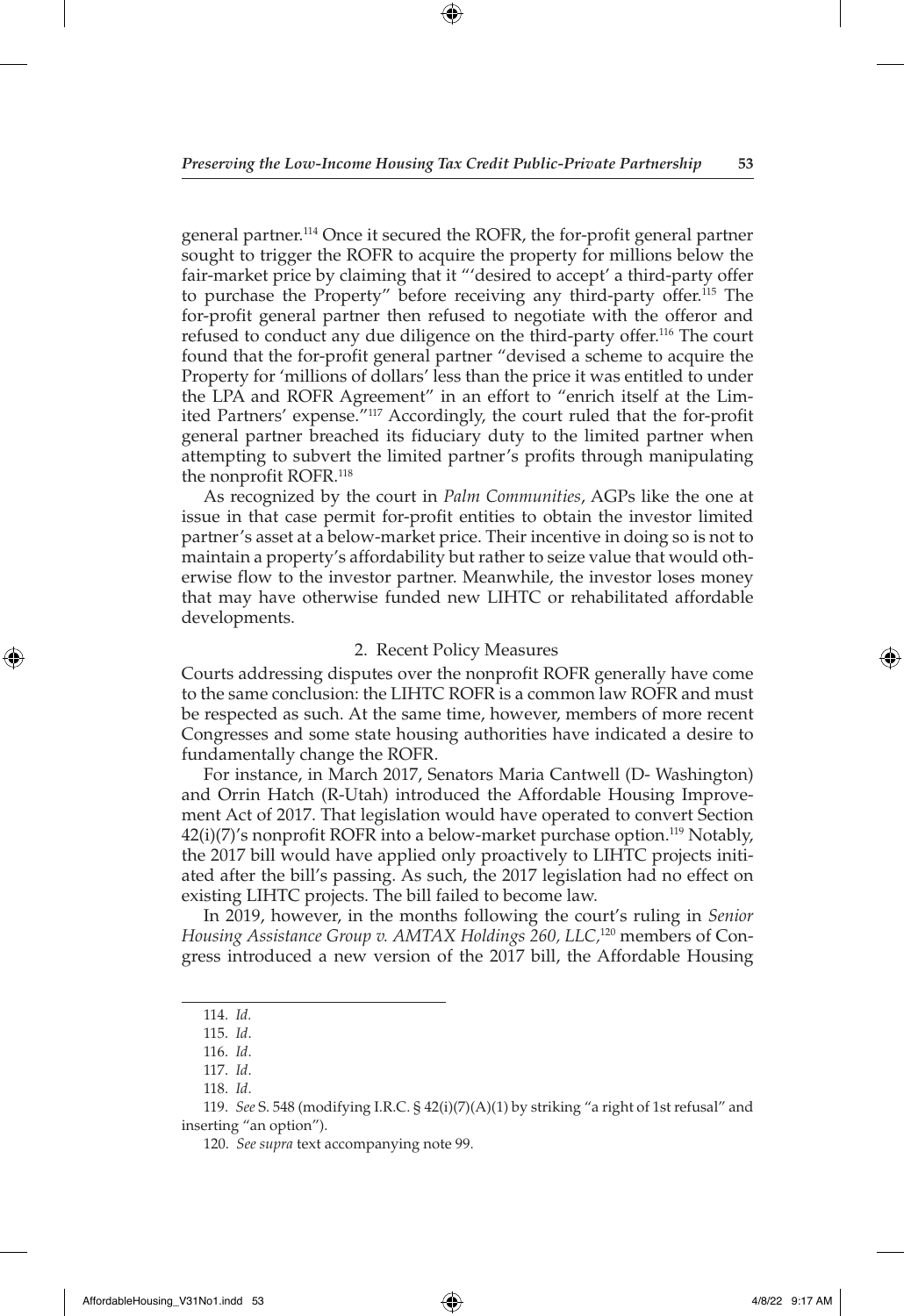⊕

general partner.114 Once it secured the ROFR, the for-profit general partner sought to trigger the ROFR to acquire the property for millions below the fair-market price by claiming that it "'desired to accept' a third-party offer to purchase the Property" before receiving any third-party offer.115 The for-profit general partner then refused to negotiate with the offeror and refused to conduct any due diligence on the third-party offer.116 The court found that the for-profit general partner "devised a scheme to acquire the Property for 'millions of dollars' less than the price it was entitled to under the LPA and ROFR Agreement" in an effort to "enrich itself at the Limited Partners' expense."117 Accordingly, the court ruled that the for-profit general partner breached its fiduciary duty to the limited partner when attempting to subvert the limited partner's profits through manipulating the nonprofit ROFR.118

As recognized by the court in *Palm Communities*, AGPs like the one at issue in that case permit for-profit entities to obtain the investor limited partner's asset at a below-market price. Their incentive in doing so is not to maintain a property's affordability but rather to seize value that would otherwise flow to the investor partner. Meanwhile, the investor loses money that may have otherwise funded new LIHTC or rehabilitated affordable developments.

#### 2. Recent Policy Measures

Courts addressing disputes over the nonprofit ROFR generally have come to the same conclusion: the LIHTC ROFR is a common law ROFR and must be respected as such. At the same time, however, members of more recent Congresses and some state housing authorities have indicated a desire to fundamentally change the ROFR.

For instance, in March 2017, Senators Maria Cantwell (D- Washington) and Orrin Hatch (R-Utah) introduced the Affordable Housing Improvement Act of 2017. That legislation would have operated to convert Section 42(i)(7)'s nonprofit ROFR into a below-market purchase option.<sup>119</sup> Notably, the 2017 bill would have applied only proactively to LIHTC projects initiated after the bill's passing. As such, the 2017 legislation had no effect on existing LIHTC projects. The bill failed to become law.

In 2019, however, in the months following the court's ruling in *Senior Housing Assistance Group v. AMTAX Holdings 260, LLC,*120 members of Congress introduced a new version of the 2017 bill, the Affordable Housing

◈

<sup>114.</sup> *Id.*

<sup>115.</sup> *Id*.

<sup>116.</sup> *Id*.

<sup>117.</sup> *Id*.

<sup>118.</sup> *Id*.

<sup>119.</sup> *See* S. 548 (modifying I.R.C. § 42(i)(7)(A)(1) by striking "a right of 1st refusal" and inserting "an option").

<sup>120.</sup> *See supra* text accompanying note 99.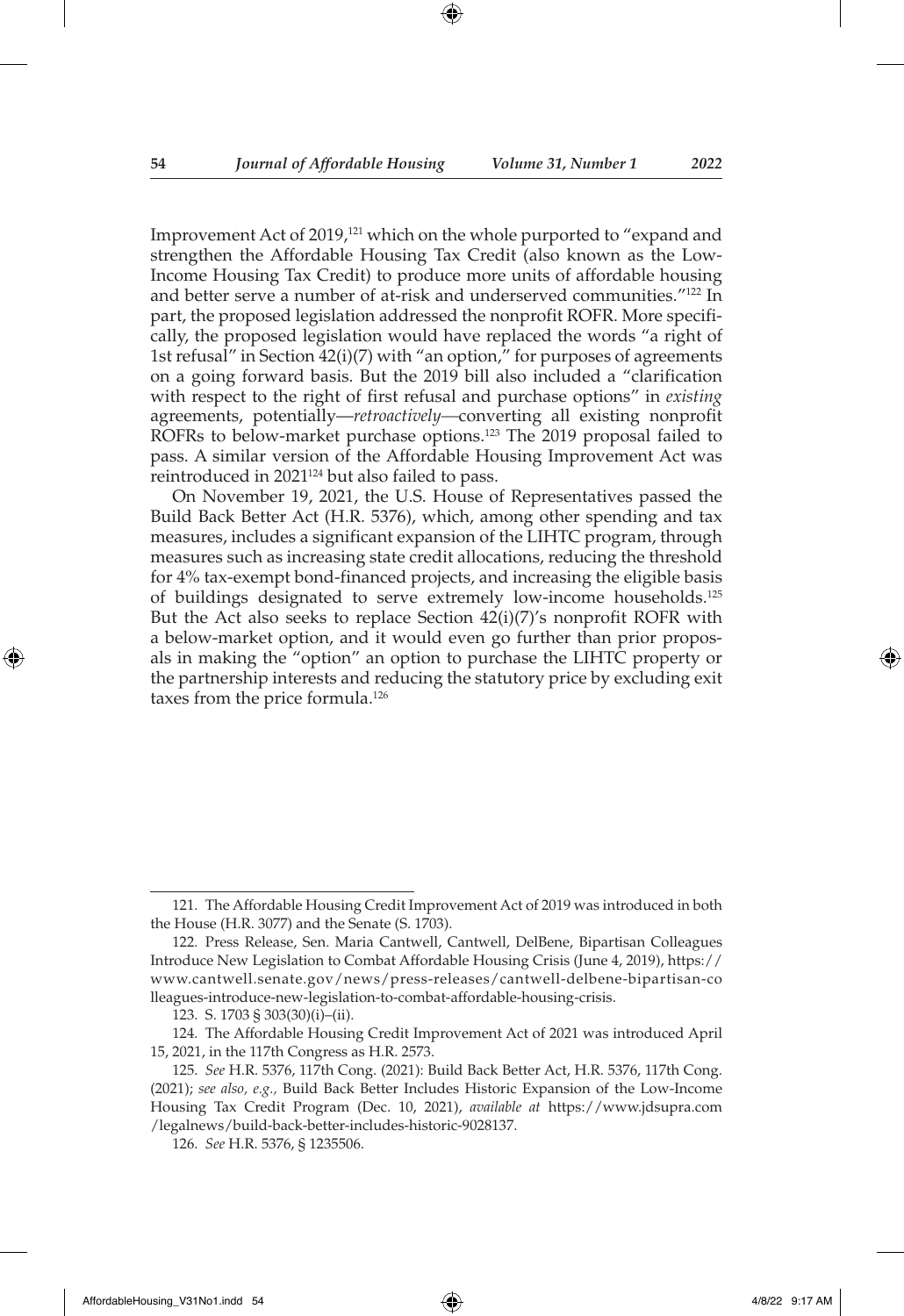Improvement Act of 2019,<sup>121</sup> which on the whole purported to "expand and strengthen the Affordable Housing Tax Credit (also known as the Low-Income Housing Tax Credit) to produce more units of affordable housing and better serve a number of at-risk and underserved communities."<sup>122</sup> In part, the proposed legislation addressed the nonprofit ROFR. More specifically, the proposed legislation would have replaced the words "a right of 1st refusal" in Section 42(i)(7) with "an option," for purposes of agreements on a going forward basis. But the 2019 bill also included a "clarification with respect to the right of first refusal and purchase options" in *existing*  agreements, potentially—*retroactively—*converting all existing nonprofit ROFRs to below-market purchase options.<sup>123</sup> The 2019 proposal failed to pass. A similar version of the Affordable Housing Improvement Act was reintroduced in 2021<sup>124</sup> but also failed to pass.

On November 19, 2021, the U.S. House of Representatives passed the Build Back Better Act (H.R. 5376), which, among other spending and tax measures, includes a significant expansion of the LIHTC program, through measures such as increasing state credit allocations, reducing the threshold for 4% tax-exempt bond-financed projects, and increasing the eligible basis of buildings designated to serve extremely low-income households.<sup>125</sup> But the Act also seeks to replace Section 42(i)(7)'s nonprofit ROFR with a below-market option, and it would even go further than prior proposals in making the "option" an option to purchase the LIHTC property or the partnership interests and reducing the statutory price by excluding exit taxes from the price formula.126

↔

<sup>121.</sup> The Affordable Housing Credit Improvement Act of 2019 was introduced in both the House (H.R. 3077) and the Senate (S. 1703).

<sup>122.</sup> Press Release, Sen. Maria Cantwell, Cantwell, DelBene, Bipartisan Colleagues Introduce New Legislation to Combat Affordable Housing Crisis (June 4, 2019), https:// www.cantwell.senate.gov/news/press-releases/cantwell-delbene-bipartisan-co lleagues-introduce-new-legislation-to-combat-affordable-housing-crisis.

<sup>123.</sup> S. 1703 § 303(30)(i)–(ii).

<sup>124.</sup> The Affordable Housing Credit Improvement Act of 2021 was introduced April 15, 2021, in the 117th Congress as H.R. 2573.

<sup>125.</sup> *See* H.R. 5376, 117th Cong. (2021): Build Back Better Act, H.R. 5376, 117th Cong. (2021); *see also, e.g.,* Build Back Better Includes Historic Expansion of the Low-Income Housing Tax Credit Program (Dec. 10, 2021), *available at* https://www.jdsupra.com /legalnews/build-back-better-includes-historic-9028137.

<sup>126.</sup> *See* H.R. 5376, § 1235506.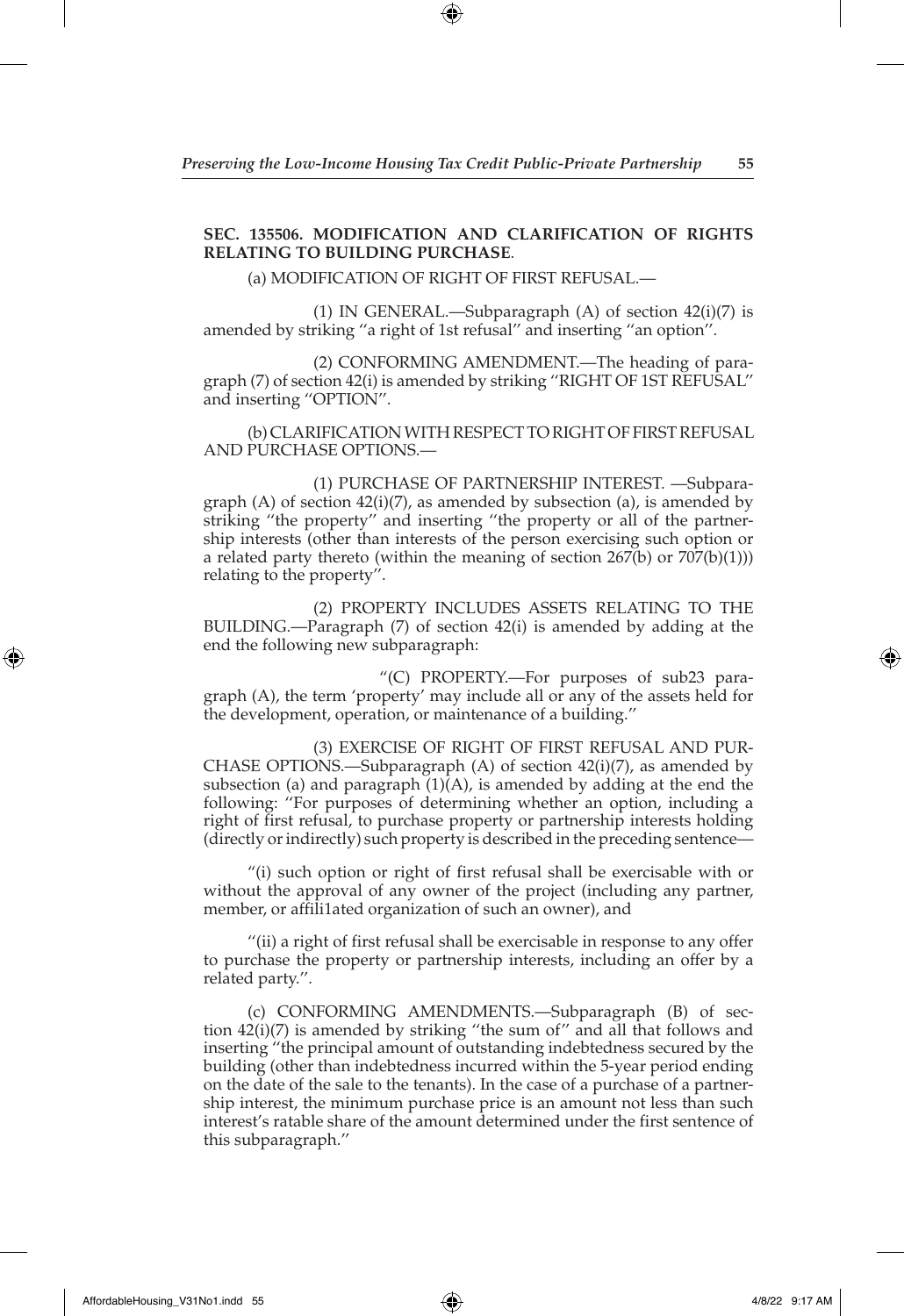# **SEC. 135506. MODIFICATION AND CLARIFICATION OF RIGHTS RELATING TO BUILDING PURCHASE**.

(a) MODIFICATION OF RIGHT OF FIRST REFUSAL.—

 (1) IN GENERAL.—Subparagraph (A) of section 42(i)(7) is amended by striking ''a right of 1st refusal'' and inserting ''an option''.

 (2) CONFORMING AMENDMENT.—The heading of paragraph (7) of section 42(i) is amended by striking ''RIGHT OF 1ST REFUSAL'' and inserting ''OPTION''.

(b) CLARIFICATION WITH RESPECT TO RIGHT OF FIRST REFUSAL AND PURCHASE OPTIONS.—

 (1) PURCHASE OF PARTNERSHIP INTEREST. —Subparagraph  $(A)$  of section  $42(i)(7)$ , as amended by subsection  $(a)$ , is amended by striking ''the property'' and inserting ''the property or all of the partnership interests (other than interests of the person exercising such option or a related party thereto (within the meaning of section  $267(b)$  or  $707(b)(1))$ ) relating to the property''.

 (2) PROPERTY INCLUDES ASSETS RELATING TO THE BUILDING.—Paragraph (7) of section 42(i) is amended by adding at the end the following new subparagraph:

 "(C) PROPERTY.—For purposes of sub23 paragraph (A), the term 'property' may include all or any of the assets held for the development, operation, or maintenance of a building.''

 (3) EXERCISE OF RIGHT OF FIRST REFUSAL AND PUR-CHASE OPTIONS.—Subparagraph  $(A)$  of section  $42(i)(7)$ , as amended by subsection (a) and paragraph  $(1)(A)$ , is amended by adding at the end the following: ''For purposes of determining whether an option, including a right of first refusal, to purchase property or partnership interests holding (directly or indirectly) such property is described in the preceding sentence—

"(i) such option or right of first refusal shall be exercisable with or without the approval of any owner of the project (including any partner, member, or affili1ated organization of such an owner), and

''(ii) a right of first refusal shall be exercisable in response to any offer to purchase the property or partnership interests, including an offer by a related party.''.

(c) CONFORMING AMENDMENTS.—Subparagraph (B) of section 42(i)(7) is amended by striking ''the sum of'' and all that follows and inserting ''the principal amount of outstanding indebtedness secured by the building (other than indebtedness incurred within the 5-year period ending on the date of the sale to the tenants). In the case of a purchase of a partnership interest, the minimum purchase price is an amount not less than such interest's ratable share of the amount determined under the first sentence of this subparagraph.''

◈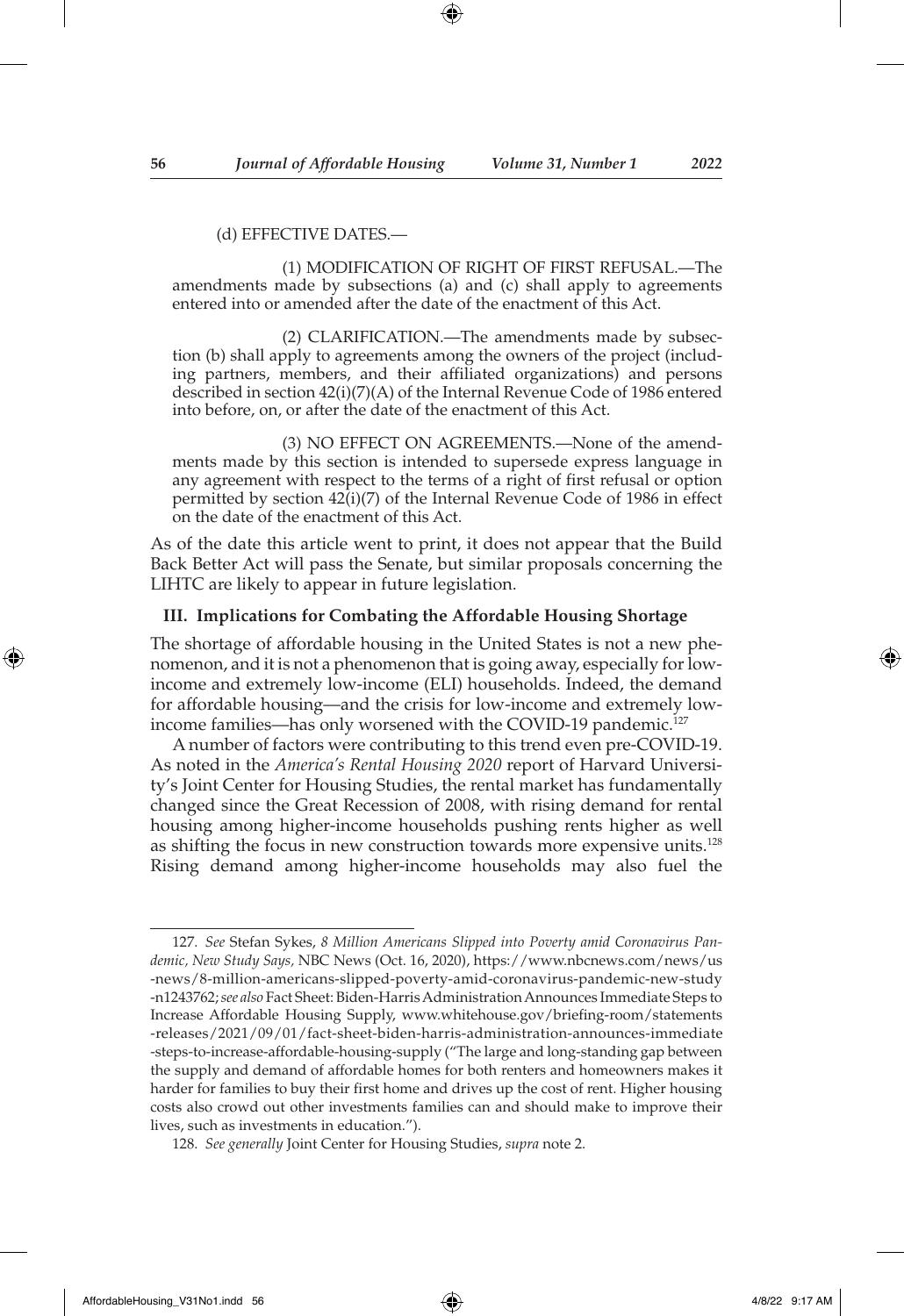#### (d) EFFECTIVE DATES.—

 (1) MODIFICATION OF RIGHT OF FIRST REFUSAL.—The amendments made by subsections (a) and (c) shall apply to agreements entered into or amended after the date of the enactment of this Act.

 (2) CLARIFICATION.—The amendments made by subsection (b) shall apply to agreements among the owners of the project (including partners, members, and their affiliated organizations) and persons described in section 42(i)(7)(A) of the Internal Revenue Code of 1986 entered into before, on, or after the date of the enactment of this Act.

 (3) NO EFFECT ON AGREEMENTS.—None of the amendments made by this section is intended to supersede express language in any agreement with respect to the terms of a right of first refusal or option permitted by section 42(i)(7) of the Internal Revenue Code of 1986 in effect on the date of the enactment of this Act.

As of the date this article went to print, it does not appear that the Build Back Better Act will pass the Senate, but similar proposals concerning the LIHTC are likely to appear in future legislation.

# **III. Implications for Combating the Affordable Housing Shortage**

The shortage of affordable housing in the United States is not a new phenomenon, and it is not a phenomenon that is going away, especially for lowincome and extremely low-income (ELI) households. Indeed, the demand for affordable housing—and the crisis for low-income and extremely lowincome families—has only worsened with the COVID-19 pandemic.<sup>127</sup>

A number of factors were contributing to this trend even pre-COVID-19. As noted in the *America's Rental Housing 2020* report of Harvard University's Joint Center for Housing Studies, the rental market has fundamentally changed since the Great Recession of 2008, with rising demand for rental housing among higher-income households pushing rents higher as well as shifting the focus in new construction towards more expensive units.<sup>128</sup> Rising demand among higher-income households may also fuel the

↔

<sup>127.</sup> *See* Stefan Sykes, *8 Million Americans Slipped into Poverty amid Coronavirus Pandemic, New Study Says,* NBC News (Oct. 16, 2020), https://www.nbcnews.com/news/us -news/8-million-americans-slipped-poverty-amid-coronavirus-pandemic-new-study -n1243762; *see also* Fact Sheet: Biden-Harris Administration Announces Immediate Steps to Increase Affordable Housing Supply, www.whitehouse.gov/briefing-room/statements -releases/2021/09/01/fact-sheet-biden-harris-administration-announces-immediate -steps-to-increase-affordable-housing-supply ("The large and long-standing gap between the supply and demand of affordable homes for both renters and homeowners makes it harder for families to buy their first home and drives up the cost of rent. Higher housing costs also crowd out other investments families can and should make to improve their lives, such as investments in education.").

<sup>128.</sup> *See generally* Joint Center for Housing Studies, *supra* note 2.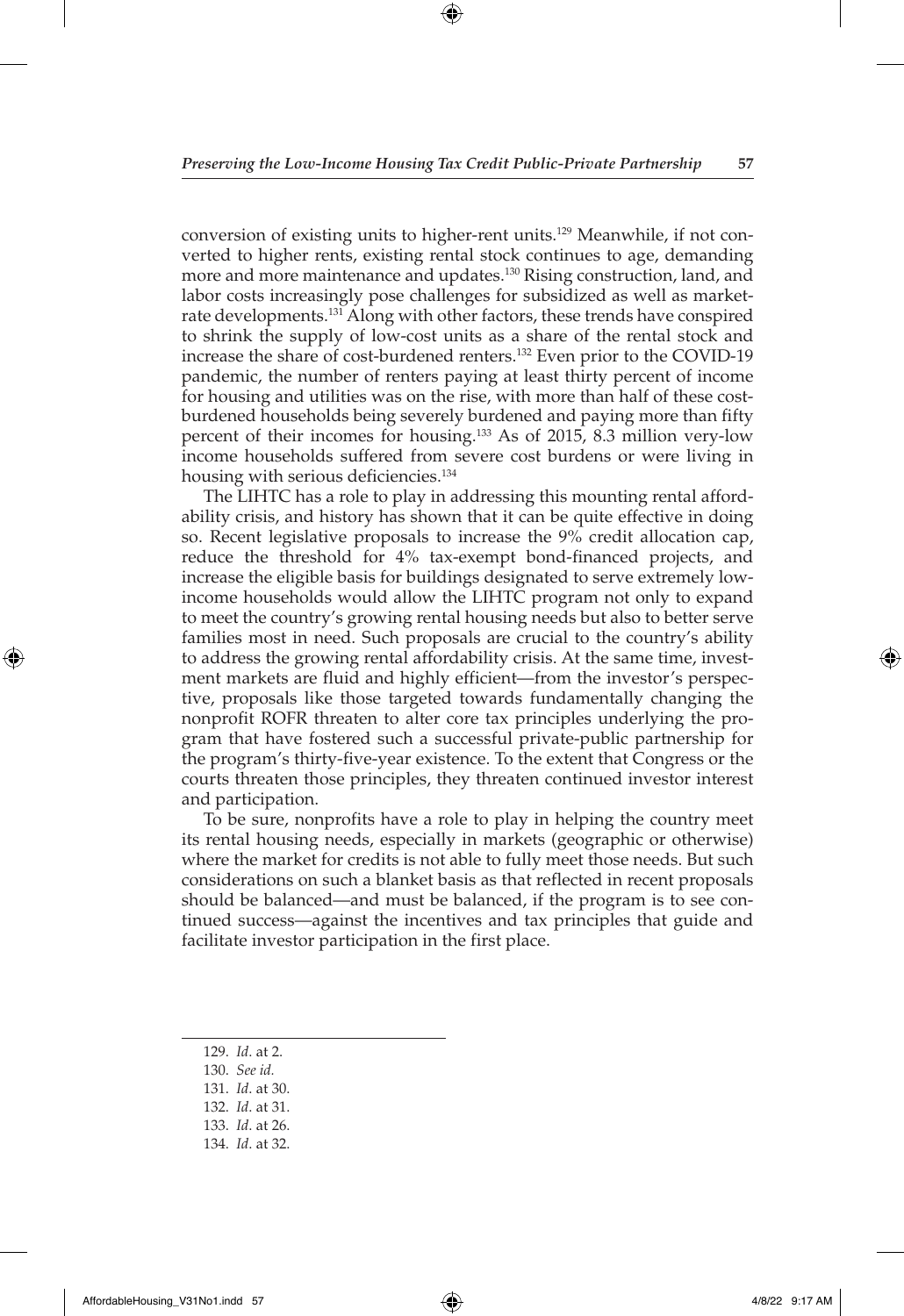conversion of existing units to higher-rent units.129 Meanwhile, if not converted to higher rents, existing rental stock continues to age, demanding more and more maintenance and updates.<sup>130</sup> Rising construction, land, and labor costs increasingly pose challenges for subsidized as well as marketrate developments.<sup>131</sup> Along with other factors, these trends have conspired to shrink the supply of low-cost units as a share of the rental stock and increase the share of cost-burdened renters.132 Even prior to the COVID-19 pandemic, the number of renters paying at least thirty percent of income for housing and utilities was on the rise, with more than half of these costburdened households being severely burdened and paying more than fifty percent of their incomes for housing.133 As of 2015, 8.3 million very-low income households suffered from severe cost burdens or were living in housing with serious deficiencies.<sup>134</sup>

The LIHTC has a role to play in addressing this mounting rental affordability crisis, and history has shown that it can be quite effective in doing so. Recent legislative proposals to increase the 9% credit allocation cap, reduce the threshold for 4% tax-exempt bond-financed projects, and increase the eligible basis for buildings designated to serve extremely lowincome households would allow the LIHTC program not only to expand to meet the country's growing rental housing needs but also to better serve families most in need. Such proposals are crucial to the country's ability to address the growing rental affordability crisis. At the same time, investment markets are fluid and highly efficient—from the investor's perspective, proposals like those targeted towards fundamentally changing the nonprofit ROFR threaten to alter core tax principles underlying the program that have fostered such a successful private-public partnership for the program's thirty-five-year existence. To the extent that Congress or the courts threaten those principles, they threaten continued investor interest and participation.

To be sure, nonprofits have a role to play in helping the country meet its rental housing needs, especially in markets (geographic or otherwise) where the market for credits is not able to fully meet those needs. But such considerations on such a blanket basis as that reflected in recent proposals should be balanced—and must be balanced, if the program is to see continued success—against the incentives and tax principles that guide and facilitate investor participation in the first place.

- 129. *Id*. at 2.
- 130. *See id.*
- 131. *Id*. at 30.
- 132. *Id*. at 31.
- 133. *Id*. at 26.
- 134. *Id*. at 32.

AffordableHousing\_V31No1.indd 57 4/8/22 9:17 AM

↔